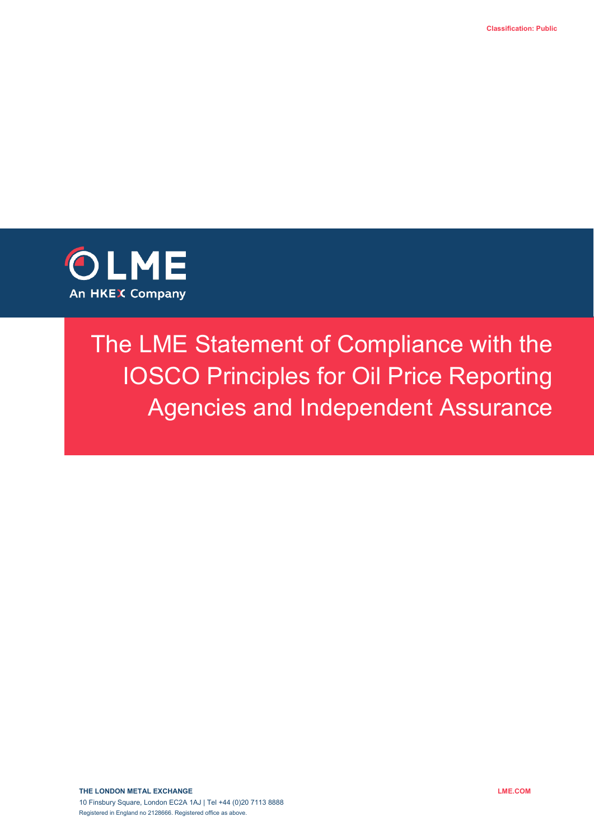

# The LME Statement of Compliance with the IOSCO Principles for Oil Price Reporting Agencies and Independent Assurance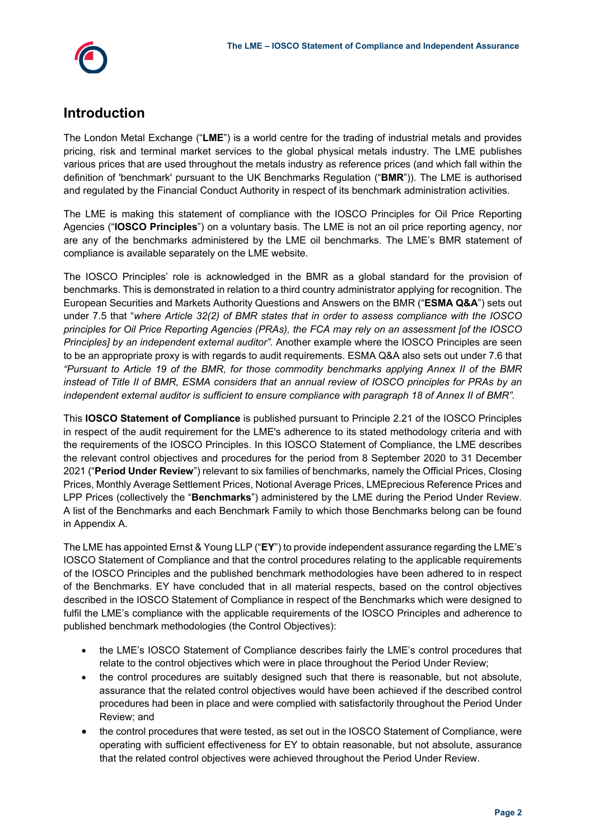## **Introduction**

The London Metal Exchange ("**LME**") is a world centre for the trading of industrial metals and provides pricing, risk and terminal market services to the global physical metals industry. The LME publishes various prices that are used throughout the metals industry as reference prices (and which fall within the definition of 'benchmark' pursuant to the UK Benchmarks Regulation ("**BMR**")). The LME is authorised and regulated by the Financial Conduct Authority in respect of its benchmark administration activities.

The LME is making this statement of compliance with the IOSCO Principles for Oil Price Reporting Agencies ("**IOSCO Principles**") on a voluntary basis. The LME is not an oil price reporting agency, nor are any of the benchmarks administered by the LME oil benchmarks. The LME's BMR statement of compliance is available separately on the LME website.

The IOSCO Principles' role is acknowledged in the BMR as a global standard for the provision of benchmarks. This is demonstrated in relation to a third country administrator applying for recognition. The European Securities and Markets Authority Questions and Answers on the BMR ("**ESMA Q&A**") sets out under 7.5 that "*where Article 32(2) of BMR states that in order to assess compliance with the IOSCO principles for Oil Price Reporting Agencies (PRAs), the FCA may rely on an assessment [of the IOSCO Principles] by an independent external auditor".* Another example where the IOSCO Principles are seen to be an appropriate proxy is with regards to audit requirements. ESMA Q&A also sets out under 7.6 that *"Pursuant to Article 19 of the BMR, for those commodity benchmarks applying Annex II of the BMR instead of Title II of BMR, ESMA considers that an annual review of IOSCO principles for PRAs by an independent external auditor is sufficient to ensure compliance with paragraph 18 of Annex II of BMR".*

This **IOSCO Statement of Compliance** is published pursuant to Principle 2.21 of the IOSCO Principles in respect of the audit requirement for the LME's adherence to its stated methodology criteria and with the requirements of the IOSCO Principles. In this IOSCO Statement of Compliance, the LME describes the relevant control objectives and procedures for the period from 8 September 2020 to 31 December 2021 ("**Period Under Review**") relevant to six families of benchmarks, namely the Official Prices, Closing Prices, Monthly Average Settlement Prices, Notional Average Prices, LMEprecious Reference Prices and LPP Prices (collectively the "**Benchmarks**") administered by the LME during the Period Under Review. A list of the Benchmarks and each Benchmark Family to which those Benchmarks belong can be found in Appendix A.

The LME has appointed Ernst & Young LLP ("**EY**") to provide independent assurance regarding the LME's IOSCO Statement of Compliance and that the control procedures relating to the applicable requirements of the IOSCO Principles and the published benchmark methodologies have been adhered to in respect of the Benchmarks. EY have concluded that in all material respects, based on the control objectives described in the IOSCO Statement of Compliance in respect of the Benchmarks which were designed to fulfil the LME's compliance with the applicable requirements of the IOSCO Principles and adherence to published benchmark methodologies (the Control Objectives):

- the LME's IOSCO Statement of Compliance describes fairly the LME's control procedures that relate to the control objectives which were in place throughout the Period Under Review;
- the control procedures are suitably designed such that there is reasonable, but not absolute, assurance that the related control objectives would have been achieved if the described control procedures had been in place and were complied with satisfactorily throughout the Period Under Review; and
- the control procedures that were tested, as set out in the IOSCO Statement of Compliance, were operating with sufficient effectiveness for EY to obtain reasonable, but not absolute, assurance that the related control objectives were achieved throughout the Period Under Review.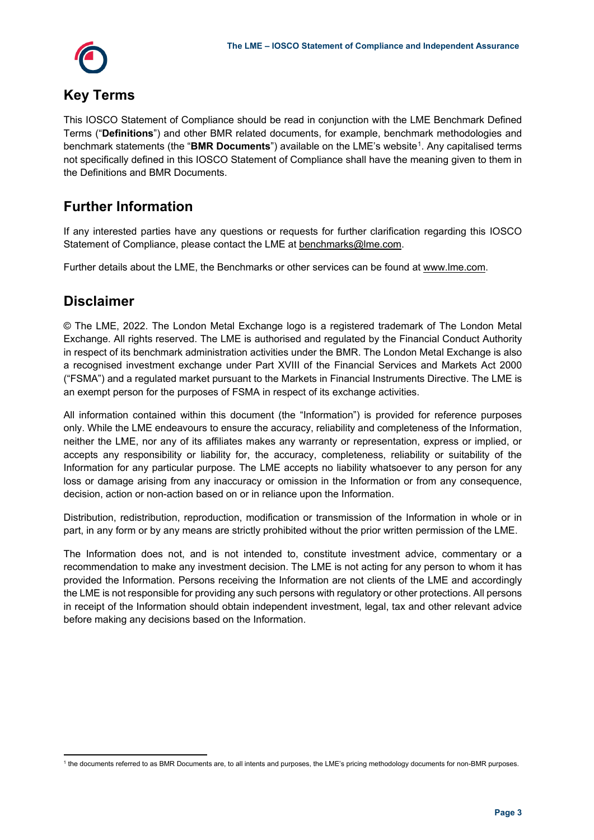

## **Key Terms**

This IOSCO Statement of Compliance should be read in conjunction with the LME Benchmark Defined Terms ("**Definitions**") and other BMR related documents, for example, benchmark methodologies and benchmark statements (the "BMR Documents") available on the LME's website<sup>[1](#page-2-0)</sup>. Any capitalised terms not specifically defined in this IOSCO Statement of Compliance shall have the meaning given to them in the Definitions and BMR Documents.

## **Further Information**

If any interested parties have any questions or requests for further clarification regarding this IOSCO Statement of Compliance, please contact the LME at [benchmarks@lme.com.](mailto:benchmarks@lme.com)

Further details about the LME, the Benchmarks or other services can be found at www.lme[.com.](http://www.lme.com/)

## **Disclaimer**

© The LME, 2022. The London Metal Exchange logo is a registered trademark of The London Metal Exchange. All rights reserved. The LME is authorised and regulated by the Financial Conduct Authority in respect of its benchmark administration activities under the BMR. The London Metal Exchange is also a recognised investment exchange under Part XVIII of the Financial Services and Markets Act 2000 ("FSMA") and a regulated market pursuant to the Markets in Financial Instruments Directive. The LME is an exempt person for the purposes of FSMA in respect of its exchange activities.

All information contained within this document (the "Information") is provided for reference purposes only. While the LME endeavours to ensure the accuracy, reliability and completeness of the Information, neither the LME, nor any of its affiliates makes any warranty or representation, express or implied, or accepts any responsibility or liability for, the accuracy, completeness, reliability or suitability of the Information for any particular purpose. The LME accepts no liability whatsoever to any person for any loss or damage arising from any inaccuracy or omission in the Information or from any consequence, decision, action or non-action based on or in reliance upon the Information.

Distribution, redistribution, reproduction, modification or transmission of the Information in whole or in part, in any form or by any means are strictly prohibited without the prior written permission of the LME.

The Information does not, and is not intended to, constitute investment advice, commentary or a recommendation to make any investment decision. The LME is not acting for any person to whom it has provided the Information. Persons receiving the Information are not clients of the LME and accordingly the LME is not responsible for providing any such persons with regulatory or other protections. All persons in receipt of the Information should obtain independent investment, legal, tax and other relevant advice before making any decisions based on the Information.

<span id="page-2-0"></span>**<sup>.</sup>** <sup>1</sup> the documents referred to as BMR Documents are, to all intents and purposes, the LME's pricing methodology documents for non-BMR purposes.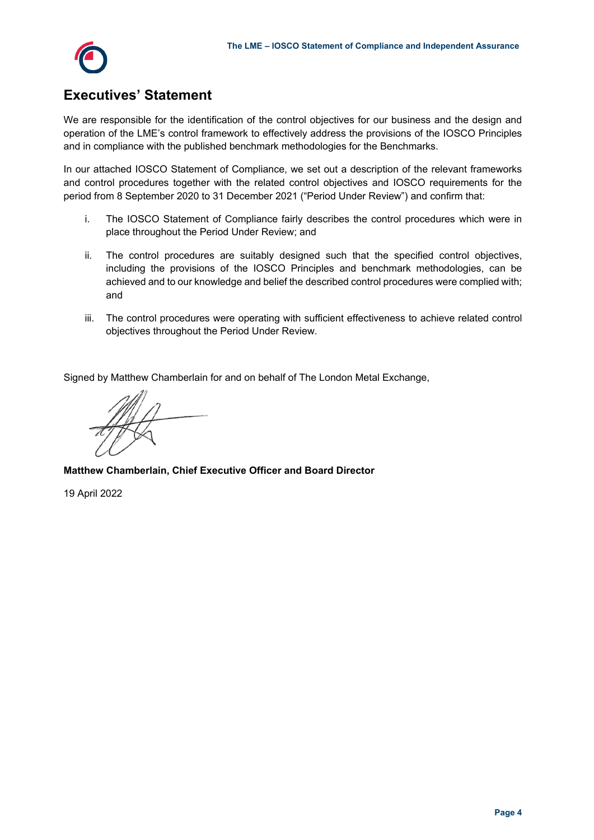

## **Executives' Statement**

We are responsible for the identification of the control objectives for our business and the design and operation of the LME's control framework to effectively address the provisions of the IOSCO Principles and in compliance with the published benchmark methodologies for the Benchmarks.

In our attached IOSCO Statement of Compliance, we set out a description of the relevant frameworks and control procedures together with the related control objectives and IOSCO requirements for the period from 8 September 2020 to 31 December 2021 ("Period Under Review") and confirm that:

- i. The IOSCO Statement of Compliance fairly describes the control procedures which were in place throughout the Period Under Review; and
- ii. The control procedures are suitably designed such that the specified control objectives, including the provisions of the IOSCO Principles and benchmark methodologies, can be achieved and to our knowledge and belief the described control procedures were complied with; and
- iii. The control procedures were operating with sufficient effectiveness to achieve related control objectives throughout the Period Under Review.

Signed by Matthew Chamberlain for and on behalf of The London Metal Exchange,

#### **Matthew Chamberlain, Chief Executive Officer and Board Director**

19 April 2022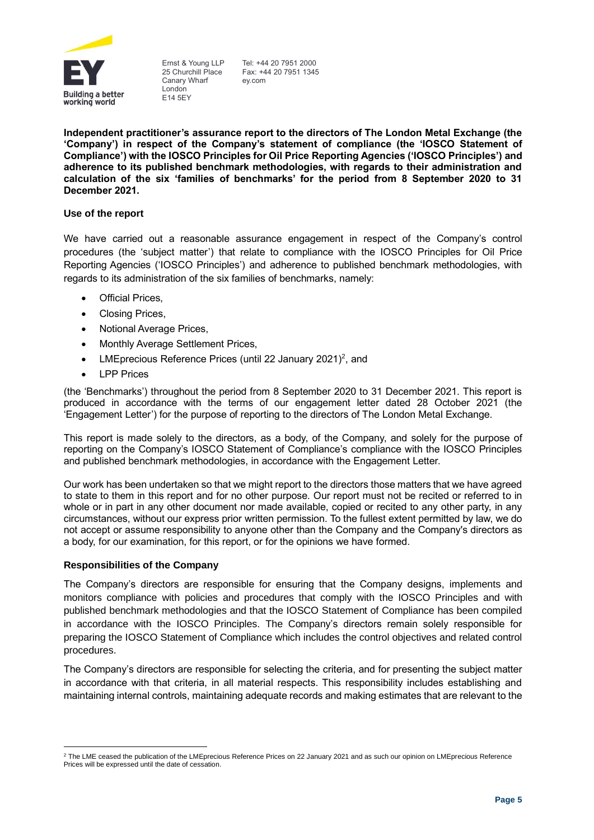

Ernst & Young LLP 25 Churchill Place Canary Wharf London E14 5EY

Tel: +44 20 7951 2000 Fax: +44 20 7951 1345 ey.com

**Independent practitioner's assurance report to the directors of The London Metal Exchange (the 'Company') in respect of the Company's statement of compliance (the 'IOSCO Statement of Compliance') with the IOSCO Principles for Oil Price Reporting Agencies ('IOSCO Principles') and adherence to its published benchmark methodologies, with regards to their administration and calculation of the six 'families of benchmarks' for the period from 8 September 2020 to 31 December 2021.** 

#### **Use of the report**

We have carried out a reasonable assurance engagement in respect of the Company's control procedures (the 'subject matter') that relate to compliance with the IOSCO Principles for Oil Price Reporting Agencies ('IOSCO Principles') and adherence to published benchmark methodologies, with regards to its administration of the six families of benchmarks, namely:

- Official Prices,
- Closing Prices,
- Notional Average Prices,
- Monthly Average Settlement Prices,
- LMEprecious Reference Prices (until 22 January 2021)<sup>2</sup>, and
- **LPP Prices**

(the 'Benchmarks') throughout the period from 8 September 2020 to 31 December 2021. This report is produced in accordance with the terms of our engagement letter dated 28 October 2021 (the 'Engagement Letter') for the purpose of reporting to the directors of The London Metal Exchange.

This report is made solely to the directors, as a body, of the Company, and solely for the purpose of reporting on the Company's IOSCO Statement of Compliance's compliance with the IOSCO Principles and published benchmark methodologies, in accordance with the Engagement Letter.

Our work has been undertaken so that we might report to the directors those matters that we have agreed to state to them in this report and for no other purpose. Our report must not be recited or referred to in whole or in part in any other document nor made available, copied or recited to any other party, in any circumstances, without our express prior written permission. To the fullest extent permitted by law, we do not accept or assume responsibility to anyone other than the Company and the Company's directors as a body, for our examination, for this report, or for the opinions we have formed.

#### **Responsibilities of the Company**

The Company's directors are responsible for ensuring that the Company designs, implements and monitors compliance with policies and procedures that comply with the IOSCO Principles and with published benchmark methodologies and that the IOSCO Statement of Compliance has been compiled in accordance with the IOSCO Principles. The Company's directors remain solely responsible for preparing the IOSCO Statement of Compliance which includes the control objectives and related control procedures.

The Company's directors are responsible for selecting the criteria, and for presenting the subject matter in accordance with that criteria, in all material respects. This responsibility includes establishing and maintaining internal controls, maintaining adequate records and making estimates that are relevant to the

<sup>&</sup>lt;sup>2</sup> The LME ceased the publication of the LMEprecious Reference Prices on 22 January 2021 and as such our opinion on LMEprecious Reference Prices will be expressed until the date of cessation.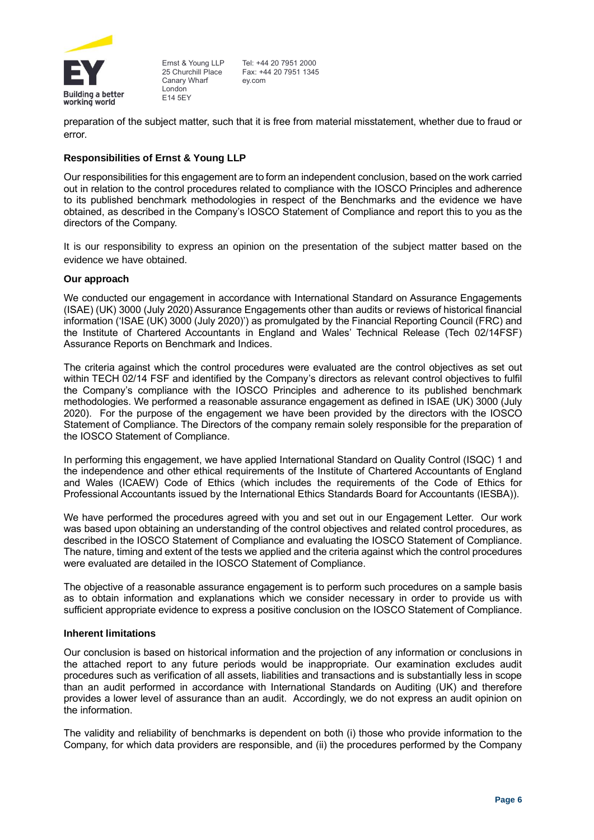

Ernst & Young LLP 25 Churchill Place Canary Wharf London E14 5EY

Tel: +44 20 7951 2000 Fax: +44 20 7951 1345 ey.com

preparation of the subject matter, such that it is free from material misstatement, whether due to fraud or error.

#### **Responsibilities of Ernst & Young LLP**

Our responsibilities for this engagement are to form an independent conclusion, based on the work carried out in relation to the control procedures related to compliance with the IOSCO Principles and adherence to its published benchmark methodologies in respect of the Benchmarks and the evidence we have obtained, as described in the Company's IOSCO Statement of Compliance and report this to you as the directors of the Company.

It is our responsibility to express an opinion on the presentation of the subject matter based on the evidence we have obtained.

#### **Our approach**

We conducted our engagement in accordance with International Standard on Assurance Engagements (ISAE) (UK) 3000 (July 2020) Assurance Engagements other than audits or reviews of historical financial information ('ISAE (UK) 3000 (July 2020)') as promulgated by the Financial Reporting Council (FRC) and the Institute of Chartered Accountants in England and Wales' Technical Release (Tech 02/14FSF) Assurance Reports on Benchmark and Indices.

The criteria against which the control procedures were evaluated are the control objectives as set out within TECH 02/14 FSF and identified by the Company's directors as relevant control objectives to fulfil the Company's compliance with the IOSCO Principles and adherence to its published benchmark methodologies. We performed a reasonable assurance engagement as defined in ISAE (UK) 3000 (July 2020). For the purpose of the engagement we have been provided by the directors with the IOSCO Statement of Compliance. The Directors of the company remain solely responsible for the preparation of the IOSCO Statement of Compliance.

In performing this engagement, we have applied International Standard on Quality Control (ISQC) 1 and the independence and other ethical requirements of the Institute of Chartered Accountants of England and Wales (ICAEW) Code of Ethics (which includes the requirements of the Code of Ethics for Professional Accountants issued by the International Ethics Standards Board for Accountants (IESBA)).

We have performed the procedures agreed with you and set out in our Engagement Letter. Our work was based upon obtaining an understanding of the control objectives and related control procedures, as described in the IOSCO Statement of Compliance and evaluating the IOSCO Statement of Compliance. The nature, timing and extent of the tests we applied and the criteria against which the control procedures were evaluated are detailed in the IOSCO Statement of Compliance.

The objective of a reasonable assurance engagement is to perform such procedures on a sample basis as to obtain information and explanations which we consider necessary in order to provide us with sufficient appropriate evidence to express a positive conclusion on the IOSCO Statement of Compliance.

#### **Inherent limitations**

Our conclusion is based on historical information and the projection of any information or conclusions in the attached report to any future periods would be inappropriate. Our examination excludes audit procedures such as verification of all assets, liabilities and transactions and is substantially less in scope than an audit performed in accordance with International Standards on Auditing (UK) and therefore provides a lower level of assurance than an audit. Accordingly, we do not express an audit opinion on the information.

The validity and reliability of benchmarks is dependent on both (i) those who provide information to the Company, for which data providers are responsible, and (ii) the procedures performed by the Company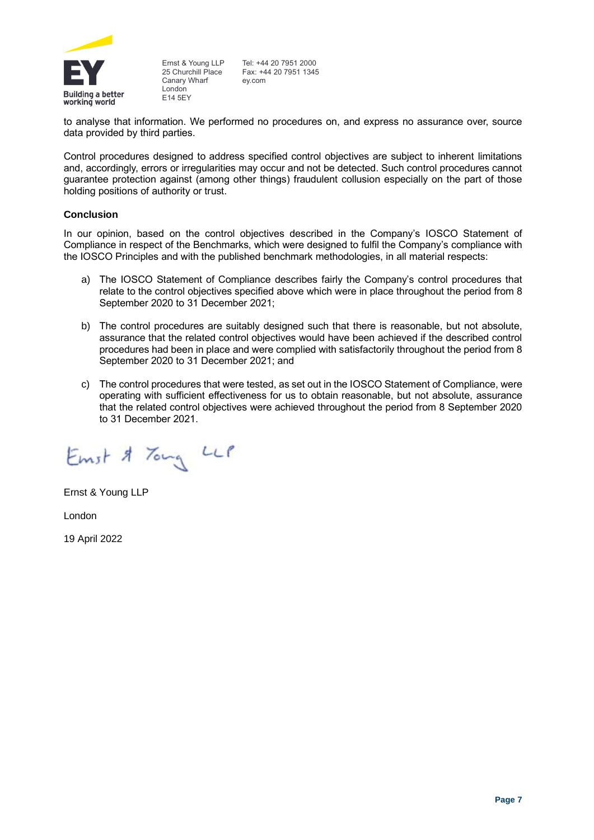

Ernst & Young LLP 25 Churchill Place Canary Wharf London E14 5EY

Tel: +44 20 7951 2000 Fax: +44 20 7951 1345 ey.com

to analyse that information. We performed no procedures on, and express no assurance over, source data provided by third parties.

Control procedures designed to address specified control objectives are subject to inherent limitations and, accordingly, errors or irregularities may occur and not be detected. Such control procedures cannot guarantee protection against (among other things) fraudulent collusion especially on the part of those holding positions of authority or trust.

#### **Conclusion**

In our opinion, based on the control objectives described in the Company's IOSCO Statement of Compliance in respect of the Benchmarks, which were designed to fulfil the Company's compliance with the IOSCO Principles and with the published benchmark methodologies, in all material respects:

- a) The IOSCO Statement of Compliance describes fairly the Company's control procedures that relate to the control objectives specified above which were in place throughout the period from 8 September 2020 to 31 December 2021;
- b) The control procedures are suitably designed such that there is reasonable, but not absolute, assurance that the related control objectives would have been achieved if the described control procedures had been in place and were complied with satisfactorily throughout the period from 8 September 2020 to 31 December 2021; and
- c) The control procedures that were tested, as set out in the IOSCO Statement of Compliance, were operating with sufficient effectiveness for us to obtain reasonable, but not absolute, assurance that the related control objectives were achieved throughout the period from 8 September 2020 to 31 December 2021.

Emst & Tong LLP

Ernst & Young LLP London 19 April 2022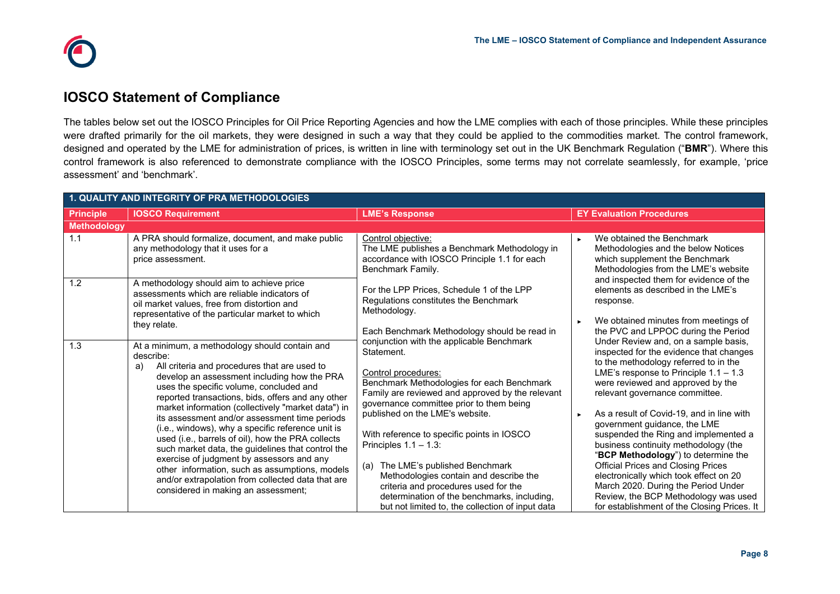

### **IOSCO Statement of Compliance**

The tables below set out the IOSCO Principles for Oil Price Reporting Agencies and how the LME complies with each of those principles. While these principles were drafted primarily for the oil markets, they were designed in such a way that they could be applied to the commodities market. The control framework, designed and operated by the LME for administration of prices, is written in line with terminology set out in the UK Benchmark Regulation ("**BMR**"). Where this control framework is also referenced to demonstrate compliance with the IOSCO Principles, some terms may not correlate seamlessly, for example, 'price assessment' and 'benchmark'.

|                    | 1. QUALITY AND INTEGRITY OF PRA METHODOLOGIES                                                                                                                                                                                                                                                                                                                                                                                                                                                                                                                                                                                                                                                                                     |                                                                                                                                                                                                                                                                                                                                                                                                                                                                                                                                                                        |                                                                                                                                                                                                                                                                                                                                                                                                                                                                                                                                                                                                                                                                     |  |  |
|--------------------|-----------------------------------------------------------------------------------------------------------------------------------------------------------------------------------------------------------------------------------------------------------------------------------------------------------------------------------------------------------------------------------------------------------------------------------------------------------------------------------------------------------------------------------------------------------------------------------------------------------------------------------------------------------------------------------------------------------------------------------|------------------------------------------------------------------------------------------------------------------------------------------------------------------------------------------------------------------------------------------------------------------------------------------------------------------------------------------------------------------------------------------------------------------------------------------------------------------------------------------------------------------------------------------------------------------------|---------------------------------------------------------------------------------------------------------------------------------------------------------------------------------------------------------------------------------------------------------------------------------------------------------------------------------------------------------------------------------------------------------------------------------------------------------------------------------------------------------------------------------------------------------------------------------------------------------------------------------------------------------------------|--|--|
| <b>Principle</b>   | <b>IOSCO Requirement</b>                                                                                                                                                                                                                                                                                                                                                                                                                                                                                                                                                                                                                                                                                                          | <b>LME's Response</b>                                                                                                                                                                                                                                                                                                                                                                                                                                                                                                                                                  | <b>EY Evaluation Procedures</b>                                                                                                                                                                                                                                                                                                                                                                                                                                                                                                                                                                                                                                     |  |  |
| <b>Methodology</b> |                                                                                                                                                                                                                                                                                                                                                                                                                                                                                                                                                                                                                                                                                                                                   |                                                                                                                                                                                                                                                                                                                                                                                                                                                                                                                                                                        |                                                                                                                                                                                                                                                                                                                                                                                                                                                                                                                                                                                                                                                                     |  |  |
| 1.1                | A PRA should formalize, document, and make public<br>any methodology that it uses for a<br>price assessment.                                                                                                                                                                                                                                                                                                                                                                                                                                                                                                                                                                                                                      | Control objective:<br>The LME publishes a Benchmark Methodology in<br>accordance with IOSCO Principle 1.1 for each<br>Benchmark Family.                                                                                                                                                                                                                                                                                                                                                                                                                                | We obtained the Benchmark<br>Methodologies and the below Notices<br>which supplement the Benchmark<br>Methodologies from the LME's website<br>and inspected them for evidence of the                                                                                                                                                                                                                                                                                                                                                                                                                                                                                |  |  |
| 1.2                | A methodology should aim to achieve price<br>assessments which are reliable indicators of<br>oil market values, free from distortion and<br>representative of the particular market to which<br>they relate.                                                                                                                                                                                                                                                                                                                                                                                                                                                                                                                      | For the LPP Prices, Schedule 1 of the LPP<br>Regulations constitutes the Benchmark<br>Methodology.<br>Each Benchmark Methodology should be read in                                                                                                                                                                                                                                                                                                                                                                                                                     | elements as described in the LME's<br>response.<br>We obtained minutes from meetings of<br>the PVC and LPPOC during the Period                                                                                                                                                                                                                                                                                                                                                                                                                                                                                                                                      |  |  |
| 1.3                | At a minimum, a methodology should contain and<br>describe:<br>All criteria and procedures that are used to<br>a)<br>develop an assessment including how the PRA<br>uses the specific volume, concluded and<br>reported transactions, bids, offers and any other<br>market information (collectively "market data") in<br>its assessment and/or assessment time periods<br>(i.e., windows), why a specific reference unit is<br>used (i.e., barrels of oil), how the PRA collects<br>such market data, the guidelines that control the<br>exercise of judgment by assessors and any<br>other information, such as assumptions, models<br>and/or extrapolation from collected data that are<br>considered in making an assessment; | conjunction with the applicable Benchmark<br>Statement.<br>Control procedures:<br>Benchmark Methodologies for each Benchmark<br>Family are reviewed and approved by the relevant<br>governance committee prior to them being<br>published on the LME's website.<br>With reference to specific points in IOSCO<br>Principles $1.1 - 1.3$ :<br>The LME's published Benchmark<br>(a)<br>Methodologies contain and describe the<br>criteria and procedures used for the<br>determination of the benchmarks, including,<br>but not limited to, the collection of input data | Under Review and, on a sample basis,<br>inspected for the evidence that changes<br>to the methodology referred to in the<br>LME's response to Principle $1.1 - 1.3$<br>were reviewed and approved by the<br>relevant governance committee.<br>As a result of Covid-19, and in line with<br>government guidance, the LME<br>suspended the Ring and implemented a<br>business continuity methodology (the<br>"BCP Methodology") to determine the<br><b>Official Prices and Closing Prices</b><br>electronically which took effect on 20<br>March 2020. During the Period Under<br>Review, the BCP Methodology was used<br>for establishment of the Closing Prices. It |  |  |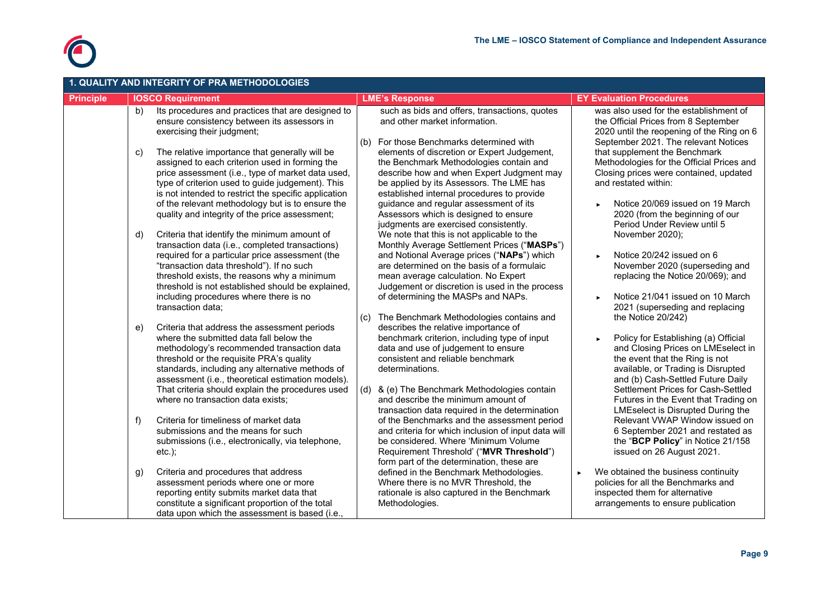

|                  | 1. QUALITY AND INTEGRITY OF PRA METHODOLOGIES |                                                                                                                                                                                                                                                                                                                                    |     |                                                                                                                                                                                                                                                                                                                 |  |                                                                                                                                                                                                                                                                       |
|------------------|-----------------------------------------------|------------------------------------------------------------------------------------------------------------------------------------------------------------------------------------------------------------------------------------------------------------------------------------------------------------------------------------|-----|-----------------------------------------------------------------------------------------------------------------------------------------------------------------------------------------------------------------------------------------------------------------------------------------------------------------|--|-----------------------------------------------------------------------------------------------------------------------------------------------------------------------------------------------------------------------------------------------------------------------|
| <b>Principle</b> |                                               | <b>IOSCO Requirement</b>                                                                                                                                                                                                                                                                                                           |     | <b>LME's Response</b>                                                                                                                                                                                                                                                                                           |  | <b>EY Evaluation Procedures</b>                                                                                                                                                                                                                                       |
|                  | b)                                            | Its procedures and practices that are designed to<br>ensure consistency between its assessors in<br>exercising their judgment;                                                                                                                                                                                                     |     | such as bids and offers, transactions, quotes<br>and other market information.                                                                                                                                                                                                                                  |  | was also used for the establishment of<br>the Official Prices from 8 September<br>2020 until the reopening of the Ring on 6                                                                                                                                           |
|                  | $\mathbf{c}$                                  | The relative importance that generally will be<br>assigned to each criterion used in forming the<br>price assessment (i.e., type of market data used,<br>type of criterion used to guide judgement). This<br>is not intended to restrict the specific application<br>of the relevant methodology but is to ensure the              | (b) | For those Benchmarks determined with<br>elements of discretion or Expert Judgement,<br>the Benchmark Methodologies contain and<br>describe how and when Expert Judgment may<br>be applied by its Assessors. The LME has<br>established internal procedures to provide<br>guidance and regular assessment of its |  | September 2021. The relevant Notices<br>that supplement the Benchmark<br>Methodologies for the Official Prices and<br>Closing prices were contained, updated<br>and restated within:<br>Notice 20/069 issued on 19 March                                              |
|                  | d)                                            | quality and integrity of the price assessment;<br>Criteria that identify the minimum amount of<br>transaction data (i.e., completed transactions)<br>required for a particular price assessment (the<br>"transaction data threshold"). If no such                                                                                  |     | Assessors which is designed to ensure<br>judgments are exercised consistently.<br>We note that this is not applicable to the<br>Monthly Average Settlement Prices ("MASPs")<br>and Notional Average prices ("NAPs") which<br>are determined on the basis of a formulaic                                         |  | 2020 (from the beginning of our<br>Period Under Review until 5<br>November 2020);<br>Notice 20/242 issued on 6<br>November 2020 (superseding and                                                                                                                      |
|                  | $\epsilon$                                    | threshold exists, the reasons why a minimum<br>threshold is not established should be explained,<br>including procedures where there is no<br>transaction data;<br>Criteria that address the assessment periods                                                                                                                    | (C) | mean average calculation. No Expert<br>Judgement or discretion is used in the process<br>of determining the MASPs and NAPs.<br>The Benchmark Methodologies contains and<br>describes the relative importance of                                                                                                 |  | replacing the Notice 20/069); and<br>Notice 21/041 issued on 10 March<br>2021 (superseding and replacing<br>the Notice 20/242)                                                                                                                                        |
|                  |                                               | where the submitted data fall below the<br>methodology's recommended transaction data<br>threshold or the requisite PRA's quality<br>standards, including any alternative methods of<br>assessment (i.e., theoretical estimation models).<br>That criteria should explain the procedures used<br>where no transaction data exists; | (d) | benchmark criterion, including type of input<br>data and use of judgement to ensure<br>consistent and reliable benchmark<br>determinations.<br>& (e) The Benchmark Methodologies contain<br>and describe the minimum amount of                                                                                  |  | Policy for Establishing (a) Official<br>and Closing Prices on LMEselect in<br>the event that the Ring is not<br>available, or Trading is Disrupted<br>and (b) Cash-Settled Future Daily<br>Settlement Prices for Cash-Settled<br>Futures in the Event that Trading on |
|                  | f)                                            | Criteria for timeliness of market data<br>submissions and the means for such<br>submissions (i.e., electronically, via telephone,<br>$etc.$ );                                                                                                                                                                                     |     | transaction data required in the determination<br>of the Benchmarks and the assessment period<br>and criteria for which inclusion of input data will<br>be considered. Where 'Minimum Volume<br>Requirement Threshold' ("MVR Threshold")<br>form part of the determination, these are                           |  | LMEselect is Disrupted During the<br>Relevant VWAP Window issued on<br>6 September 2021 and restated as<br>the "BCP Policy" in Notice 21/158<br>issued on 26 August 2021.                                                                                             |
|                  | g)                                            | Criteria and procedures that address<br>assessment periods where one or more<br>reporting entity submits market data that<br>constitute a significant proportion of the total<br>data upon which the assessment is based (i.e.,                                                                                                    |     | defined in the Benchmark Methodologies.<br>Where there is no MVR Threshold, the<br>rationale is also captured in the Benchmark<br>Methodologies.                                                                                                                                                                |  | We obtained the business continuity<br>policies for all the Benchmarks and<br>inspected them for alternative<br>arrangements to ensure publication                                                                                                                    |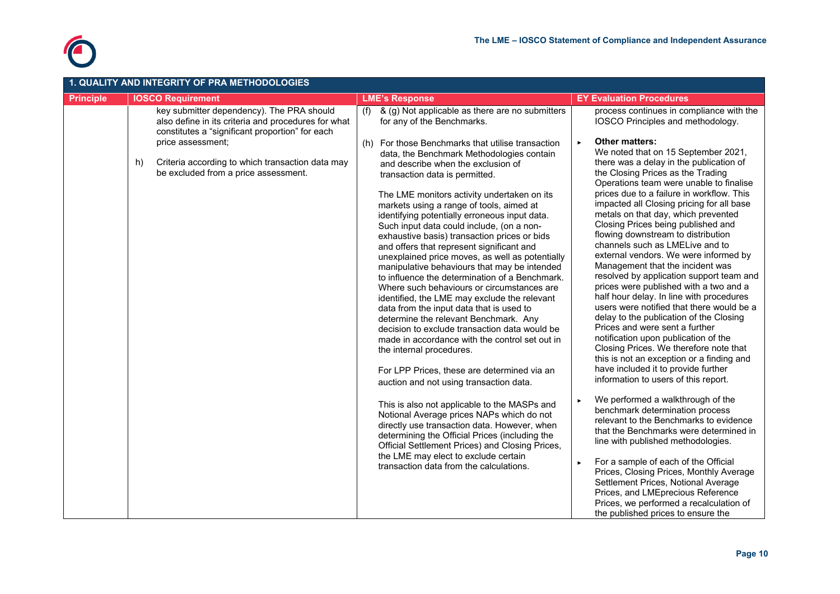

|                  | 1. QUALITY AND INTEGRITY OF PRA METHODOLOGIES                                                                                                                                                                                                                              |                                                                                                                                                                                                                                                                                                                                                                                                                                                                                                                                                                                                            |                                                                                                                                                                                                                                                                                                                                                                                                                                                                                                                                                                                            |  |  |
|------------------|----------------------------------------------------------------------------------------------------------------------------------------------------------------------------------------------------------------------------------------------------------------------------|------------------------------------------------------------------------------------------------------------------------------------------------------------------------------------------------------------------------------------------------------------------------------------------------------------------------------------------------------------------------------------------------------------------------------------------------------------------------------------------------------------------------------------------------------------------------------------------------------------|--------------------------------------------------------------------------------------------------------------------------------------------------------------------------------------------------------------------------------------------------------------------------------------------------------------------------------------------------------------------------------------------------------------------------------------------------------------------------------------------------------------------------------------------------------------------------------------------|--|--|
| <b>Principle</b> | <b>IOSCO Requirement</b>                                                                                                                                                                                                                                                   | <b>LME's Response</b>                                                                                                                                                                                                                                                                                                                                                                                                                                                                                                                                                                                      | <b>EY Evaluation Procedures</b>                                                                                                                                                                                                                                                                                                                                                                                                                                                                                                                                                            |  |  |
|                  | key submitter dependency). The PRA should<br>also define in its criteria and procedures for what<br>constitutes a "significant proportion" for each<br>price assessment;<br>Criteria according to which transaction data may<br>h)<br>be excluded from a price assessment. | & (g) Not applicable as there are no submitters<br>(f)<br>for any of the Benchmarks.<br>For those Benchmarks that utilise transaction<br>(h)<br>data, the Benchmark Methodologies contain<br>and describe when the exclusion of<br>transaction data is permitted.<br>The LME monitors activity undertaken on its<br>markets using a range of tools, aimed at<br>identifying potentially erroneous input data.<br>Such input data could include, (on a non-<br>exhaustive basis) transaction prices or bids<br>and offers that represent significant and<br>unexplained price moves, as well as potentially | process continues in compliance with the<br>IOSCO Principles and methodology.<br><b>Other matters:</b><br>$\blacktriangleright$<br>We noted that on 15 September 2021,<br>there was a delay in the publication of<br>the Closing Prices as the Trading<br>Operations team were unable to finalise<br>prices due to a failure in workflow. This<br>impacted all Closing pricing for all base<br>metals on that day, which prevented<br>Closing Prices being published and<br>flowing downstream to distribution<br>channels such as LMELive and to<br>external vendors. We were informed by |  |  |
|                  |                                                                                                                                                                                                                                                                            | manipulative behaviours that may be intended<br>to influence the determination of a Benchmark.<br>Where such behaviours or circumstances are<br>identified, the LME may exclude the relevant<br>data from the input data that is used to<br>determine the relevant Benchmark. Any<br>decision to exclude transaction data would be<br>made in accordance with the control set out in<br>the internal procedures.<br>For LPP Prices, these are determined via an<br>auction and not using transaction data.                                                                                                 | Management that the incident was<br>resolved by application support team and<br>prices were published with a two and a<br>half hour delay. In line with procedures<br>users were notified that there would be a<br>delay to the publication of the Closing<br>Prices and were sent a further<br>notification upon publication of the<br>Closing Prices. We therefore note that<br>this is not an exception or a finding and<br>have included it to provide further<br>information to users of this report.                                                                                 |  |  |
|                  |                                                                                                                                                                                                                                                                            | This is also not applicable to the MASPs and<br>Notional Average prices NAPs which do not<br>directly use transaction data. However, when<br>determining the Official Prices (including the<br>Official Settlement Prices) and Closing Prices,<br>the LME may elect to exclude certain<br>transaction data from the calculations.                                                                                                                                                                                                                                                                          | We performed a walkthrough of the<br>benchmark determination process<br>relevant to the Benchmarks to evidence<br>that the Benchmarks were determined in<br>line with published methodologies.<br>For a sample of each of the Official<br>$\blacktriangleright$<br>Prices, Closing Prices, Monthly Average                                                                                                                                                                                                                                                                                 |  |  |
|                  |                                                                                                                                                                                                                                                                            |                                                                                                                                                                                                                                                                                                                                                                                                                                                                                                                                                                                                            | Settlement Prices, Notional Average<br>Prices, and LMEprecious Reference<br>Prices, we performed a recalculation of<br>the published prices to ensure the                                                                                                                                                                                                                                                                                                                                                                                                                                  |  |  |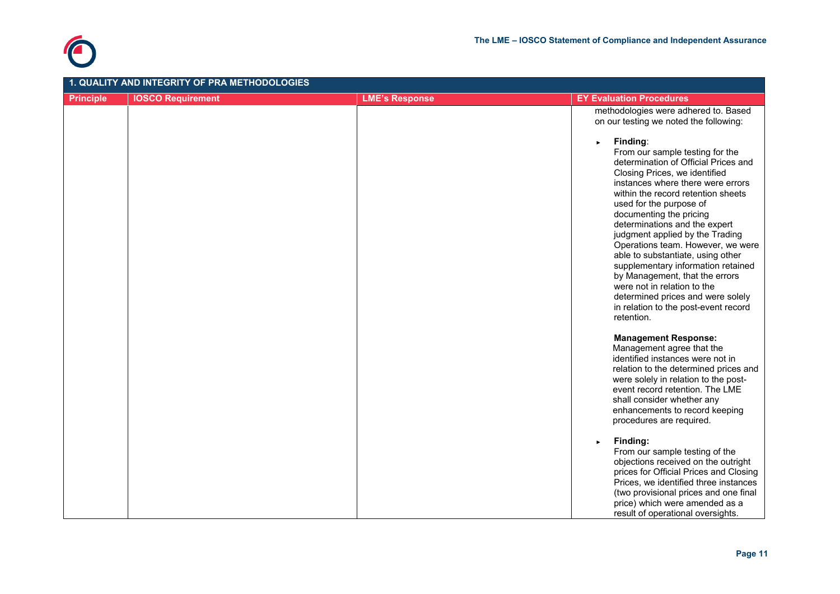

|                  | 1. QUALITY AND INTEGRITY OF PRA METHODOLOGIES |                       |                                                                                                                                                                                                                                                                                                                                                                         |  |  |
|------------------|-----------------------------------------------|-----------------------|-------------------------------------------------------------------------------------------------------------------------------------------------------------------------------------------------------------------------------------------------------------------------------------------------------------------------------------------------------------------------|--|--|
| <b>Principle</b> | <b>IOSCO Requirement</b>                      | <b>LME's Response</b> | <b>EY Evaluation Procedures</b>                                                                                                                                                                                                                                                                                                                                         |  |  |
|                  |                                               |                       | methodologies were adhered to. Based<br>on our testing we noted the following:<br>Finding:<br>ь<br>From our sample testing for the<br>determination of Official Prices and<br>Closing Prices, we identified<br>instances where there were errors<br>within the record retention sheets<br>used for the purpose of                                                       |  |  |
|                  |                                               |                       | documenting the pricing<br>determinations and the expert<br>judgment applied by the Trading<br>Operations team. However, we were<br>able to substantiate, using other<br>supplementary information retained<br>by Management, that the errors<br>were not in relation to the<br>determined prices and were solely<br>in relation to the post-event record<br>retention. |  |  |
|                  |                                               |                       | <b>Management Response:</b><br>Management agree that the<br>identified instances were not in<br>relation to the determined prices and<br>were solely in relation to the post-<br>event record retention. The LME<br>shall consider whether any<br>enhancements to record keeping<br>procedures are required.                                                            |  |  |
|                  |                                               |                       | Finding:<br>From our sample testing of the<br>objections received on the outright<br>prices for Official Prices and Closing<br>Prices, we identified three instances<br>(two provisional prices and one final<br>price) which were amended as a<br>result of operational oversights.                                                                                    |  |  |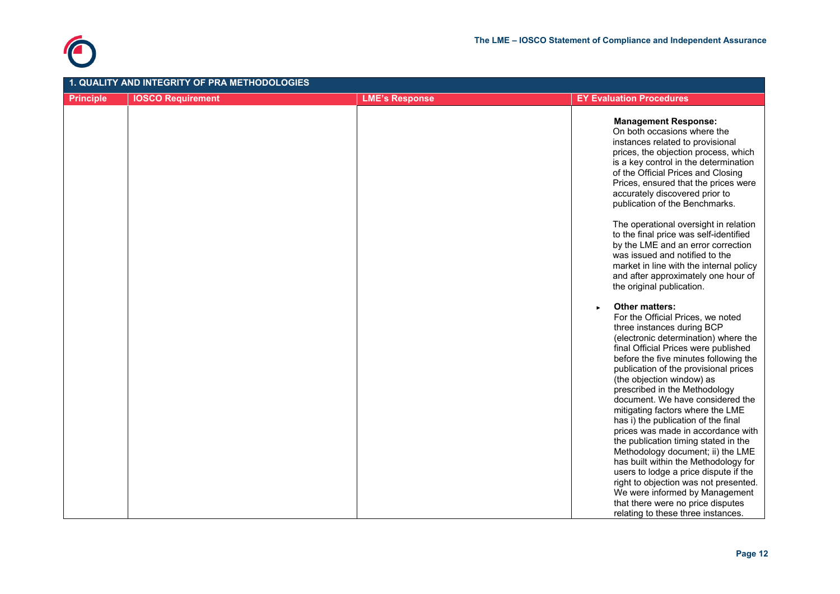

| 1. QUALITY AND INTEGRITY OF PRA METHODOLOGIES |                       |                                                                                                                                                                                                                                                                                                                                                                                                                                                                                                                                                                                                                                                                                                                                                             |  |  |
|-----------------------------------------------|-----------------------|-------------------------------------------------------------------------------------------------------------------------------------------------------------------------------------------------------------------------------------------------------------------------------------------------------------------------------------------------------------------------------------------------------------------------------------------------------------------------------------------------------------------------------------------------------------------------------------------------------------------------------------------------------------------------------------------------------------------------------------------------------------|--|--|
| <b>IOSCO Requirement</b>                      | <b>LME's Response</b> | <b>EY Evaluation Procedures</b>                                                                                                                                                                                                                                                                                                                                                                                                                                                                                                                                                                                                                                                                                                                             |  |  |
|                                               |                       | <b>Management Response:</b><br>On both occasions where the<br>instances related to provisional<br>prices, the objection process, which<br>is a key control in the determination<br>of the Official Prices and Closing<br>Prices, ensured that the prices were<br>accurately discovered prior to<br>publication of the Benchmarks.                                                                                                                                                                                                                                                                                                                                                                                                                           |  |  |
|                                               |                       | The operational oversight in relation<br>to the final price was self-identified<br>by the LME and an error correction<br>was issued and notified to the<br>market in line with the internal policy<br>and after approximately one hour of<br>the original publication.                                                                                                                                                                                                                                                                                                                                                                                                                                                                                      |  |  |
|                                               |                       | <b>Other matters:</b><br>For the Official Prices, we noted<br>three instances during BCP<br>(electronic determination) where the<br>final Official Prices were published<br>before the five minutes following the<br>publication of the provisional prices<br>(the objection window) as<br>prescribed in the Methodology<br>document. We have considered the<br>mitigating factors where the LME<br>has i) the publication of the final<br>prices was made in accordance with<br>the publication timing stated in the<br>Methodology document; ii) the LME<br>has built within the Methodology for<br>users to lodge a price dispute if the<br>right to objection was not presented.<br>We were informed by Management<br>that there were no price disputes |  |  |
|                                               |                       |                                                                                                                                                                                                                                                                                                                                                                                                                                                                                                                                                                                                                                                                                                                                                             |  |  |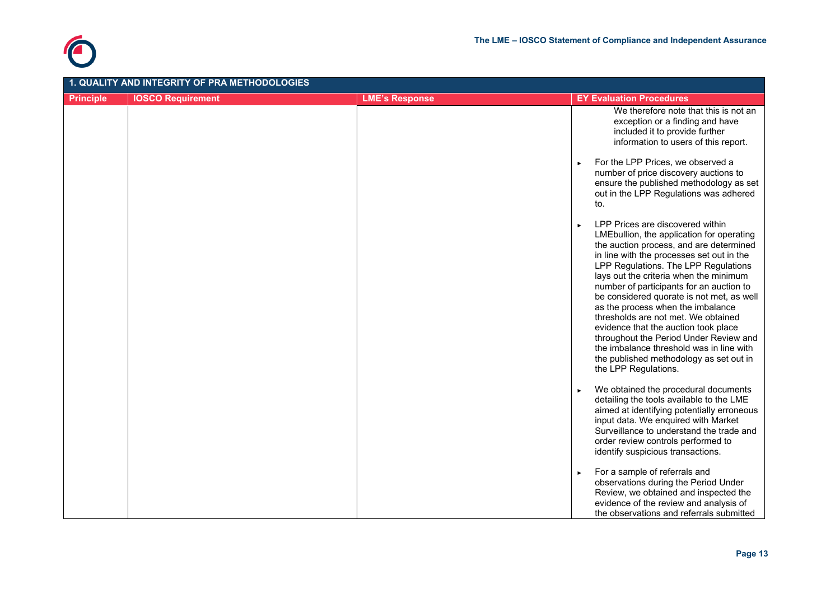

|                  | 1. QUALITY AND INTEGRITY OF PRA METHODOLOGIES |                       |                                                                                                                                                                                                                                                                                                                                                                                                                                                                                                                                                                                                                                |  |  |
|------------------|-----------------------------------------------|-----------------------|--------------------------------------------------------------------------------------------------------------------------------------------------------------------------------------------------------------------------------------------------------------------------------------------------------------------------------------------------------------------------------------------------------------------------------------------------------------------------------------------------------------------------------------------------------------------------------------------------------------------------------|--|--|
| <b>Principle</b> | <b>IOSCO Requirement</b>                      | <b>LME's Response</b> | <b>EY Evaluation Procedures</b>                                                                                                                                                                                                                                                                                                                                                                                                                                                                                                                                                                                                |  |  |
|                  |                                               |                       | We therefore note that this is not an<br>exception or a finding and have<br>included it to provide further<br>information to users of this report.                                                                                                                                                                                                                                                                                                                                                                                                                                                                             |  |  |
|                  |                                               |                       | For the LPP Prices, we observed a<br>number of price discovery auctions to<br>ensure the published methodology as set<br>out in the LPP Regulations was adhered<br>to.                                                                                                                                                                                                                                                                                                                                                                                                                                                         |  |  |
|                  |                                               |                       | LPP Prices are discovered within<br>LME bullion, the application for operating<br>the auction process, and are determined<br>in line with the processes set out in the<br>LPP Regulations. The LPP Regulations<br>lays out the criteria when the minimum<br>number of participants for an auction to<br>be considered quorate is not met, as well<br>as the process when the imbalance<br>thresholds are not met. We obtained<br>evidence that the auction took place<br>throughout the Period Under Review and<br>the imbalance threshold was in line with<br>the published methodology as set out in<br>the LPP Regulations. |  |  |
|                  |                                               |                       | We obtained the procedural documents<br>detailing the tools available to the LME<br>aimed at identifying potentially erroneous<br>input data. We enquired with Market<br>Surveillance to understand the trade and<br>order review controls performed to<br>identify suspicious transactions.                                                                                                                                                                                                                                                                                                                                   |  |  |
|                  |                                               |                       | For a sample of referrals and<br>observations during the Period Under<br>Review, we obtained and inspected the<br>evidence of the review and analysis of<br>the observations and referrals submitted                                                                                                                                                                                                                                                                                                                                                                                                                           |  |  |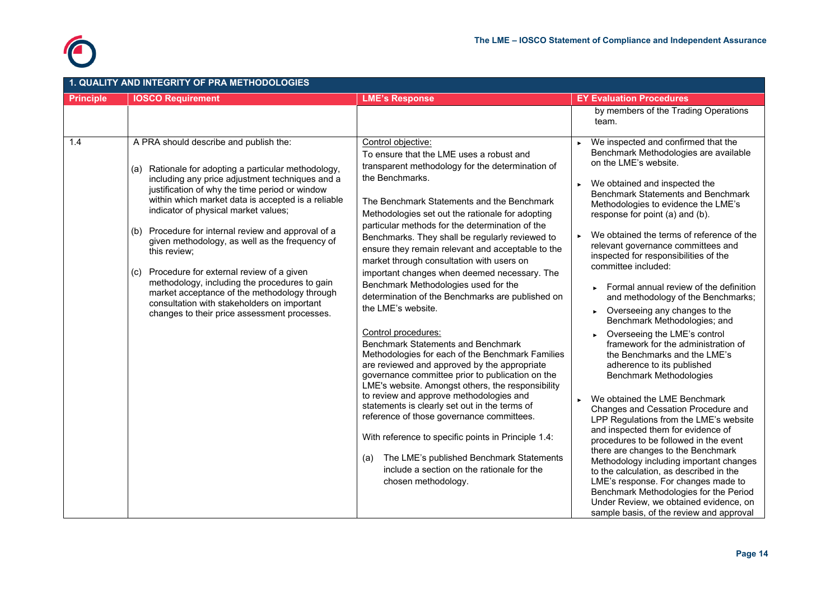

|                  | 1. QUALITY AND INTEGRITY OF PRA METHODOLOGIES                                                                                                                                                                                                                                                                                                                                                                                                                                                                                                                                                                                                                                 |                                                                                                                                                                                                                                                                                                                                                                                                                                                                                                                                                                                                                                                                                                                                                                                                                                                                                                                                                                                                                                                                                                                                                                                                                            |                                                                                                                                                                                                                                                                                                                                                                                                                                                                                                                                                                                                                                                                                                                                                                                                                                                                                                                                                                                                                                                                                                                                                                                                                                                         |  |  |
|------------------|-------------------------------------------------------------------------------------------------------------------------------------------------------------------------------------------------------------------------------------------------------------------------------------------------------------------------------------------------------------------------------------------------------------------------------------------------------------------------------------------------------------------------------------------------------------------------------------------------------------------------------------------------------------------------------|----------------------------------------------------------------------------------------------------------------------------------------------------------------------------------------------------------------------------------------------------------------------------------------------------------------------------------------------------------------------------------------------------------------------------------------------------------------------------------------------------------------------------------------------------------------------------------------------------------------------------------------------------------------------------------------------------------------------------------------------------------------------------------------------------------------------------------------------------------------------------------------------------------------------------------------------------------------------------------------------------------------------------------------------------------------------------------------------------------------------------------------------------------------------------------------------------------------------------|---------------------------------------------------------------------------------------------------------------------------------------------------------------------------------------------------------------------------------------------------------------------------------------------------------------------------------------------------------------------------------------------------------------------------------------------------------------------------------------------------------------------------------------------------------------------------------------------------------------------------------------------------------------------------------------------------------------------------------------------------------------------------------------------------------------------------------------------------------------------------------------------------------------------------------------------------------------------------------------------------------------------------------------------------------------------------------------------------------------------------------------------------------------------------------------------------------------------------------------------------------|--|--|
| <b>Principle</b> | <b>IOSCO Requirement</b>                                                                                                                                                                                                                                                                                                                                                                                                                                                                                                                                                                                                                                                      | <b>LME's Response</b>                                                                                                                                                                                                                                                                                                                                                                                                                                                                                                                                                                                                                                                                                                                                                                                                                                                                                                                                                                                                                                                                                                                                                                                                      | <b>EY Evaluation Procedures</b>                                                                                                                                                                                                                                                                                                                                                                                                                                                                                                                                                                                                                                                                                                                                                                                                                                                                                                                                                                                                                                                                                                                                                                                                                         |  |  |
|                  |                                                                                                                                                                                                                                                                                                                                                                                                                                                                                                                                                                                                                                                                               |                                                                                                                                                                                                                                                                                                                                                                                                                                                                                                                                                                                                                                                                                                                                                                                                                                                                                                                                                                                                                                                                                                                                                                                                                            | by members of the Trading Operations<br>team.                                                                                                                                                                                                                                                                                                                                                                                                                                                                                                                                                                                                                                                                                                                                                                                                                                                                                                                                                                                                                                                                                                                                                                                                           |  |  |
| 1.4              | A PRA should describe and publish the:<br>(a) Rationale for adopting a particular methodology,<br>including any price adjustment techniques and a<br>justification of why the time period or window<br>within which market data is accepted is a reliable<br>indicator of physical market values;<br>(b) Procedure for internal review and approval of a<br>given methodology, as well as the frequency of<br>this review;<br>Procedure for external review of a given<br>(C)<br>methodology, including the procedures to gain<br>market acceptance of the methodology through<br>consultation with stakeholders on important<br>changes to their price assessment processes. | Control objective:<br>To ensure that the LME uses a robust and<br>transparent methodology for the determination of<br>the Benchmarks.<br>The Benchmark Statements and the Benchmark<br>Methodologies set out the rationale for adopting<br>particular methods for the determination of the<br>Benchmarks. They shall be regularly reviewed to<br>ensure they remain relevant and acceptable to the<br>market through consultation with users on<br>important changes when deemed necessary. The<br>Benchmark Methodologies used for the<br>determination of the Benchmarks are published on<br>the LME's website.<br>Control procedures:<br><b>Benchmark Statements and Benchmark</b><br>Methodologies for each of the Benchmark Families<br>are reviewed and approved by the appropriate<br>governance committee prior to publication on the<br>LME's website. Amongst others, the responsibility<br>to review and approve methodologies and<br>statements is clearly set out in the terms of<br>reference of those governance committees.<br>With reference to specific points in Principle 1.4:<br>The LME's published Benchmark Statements<br>(a)<br>include a section on the rationale for the<br>chosen methodology. | We inspected and confirmed that the<br>Benchmark Methodologies are available<br>on the LME's website.<br>We obtained and inspected the<br><b>Benchmark Statements and Benchmark</b><br>Methodologies to evidence the LME's<br>response for point (a) and (b).<br>We obtained the terms of reference of the<br>relevant governance committees and<br>inspected for responsibilities of the<br>committee included:<br>Formal annual review of the definition<br>and methodology of the Benchmarks;<br>Overseeing any changes to the<br>ь<br>Benchmark Methodologies; and<br>Overseeing the LME's control<br>ь<br>framework for the administration of<br>the Benchmarks and the LME's<br>adherence to its published<br><b>Benchmark Methodologies</b><br>We obtained the LME Benchmark<br>Changes and Cessation Procedure and<br>LPP Regulations from the LME's website<br>and inspected them for evidence of<br>procedures to be followed in the event<br>there are changes to the Benchmark<br>Methodology including important changes<br>to the calculation, as described in the<br>LME's response. For changes made to<br>Benchmark Methodologies for the Period<br>Under Review, we obtained evidence, on<br>sample basis, of the review and approval |  |  |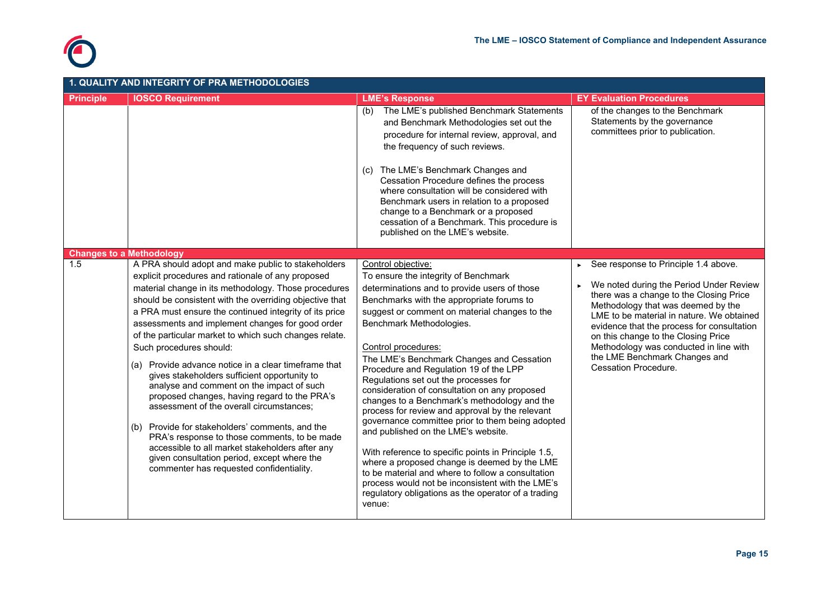

|                                 | 1. QUALITY AND INTEGRITY OF PRA METHODOLOGIES                                                                                                                                                                                                                                                                                                                                                                                                                                                                                                                                                                                                                                                                                                                                                                                                                                                                                      |                                                                                                                                                                                                                                                                                                                                                                                                                                                                                                                                                                                                                                                                                                                                                                                                                                                                                                                             |                                                                                                                                                                                                                                                                                                                                                                                                              |  |  |
|---------------------------------|------------------------------------------------------------------------------------------------------------------------------------------------------------------------------------------------------------------------------------------------------------------------------------------------------------------------------------------------------------------------------------------------------------------------------------------------------------------------------------------------------------------------------------------------------------------------------------------------------------------------------------------------------------------------------------------------------------------------------------------------------------------------------------------------------------------------------------------------------------------------------------------------------------------------------------|-----------------------------------------------------------------------------------------------------------------------------------------------------------------------------------------------------------------------------------------------------------------------------------------------------------------------------------------------------------------------------------------------------------------------------------------------------------------------------------------------------------------------------------------------------------------------------------------------------------------------------------------------------------------------------------------------------------------------------------------------------------------------------------------------------------------------------------------------------------------------------------------------------------------------------|--------------------------------------------------------------------------------------------------------------------------------------------------------------------------------------------------------------------------------------------------------------------------------------------------------------------------------------------------------------------------------------------------------------|--|--|
| <b>Principle</b>                | <b>IOSCO Requirement</b>                                                                                                                                                                                                                                                                                                                                                                                                                                                                                                                                                                                                                                                                                                                                                                                                                                                                                                           | <b>LME's Response</b>                                                                                                                                                                                                                                                                                                                                                                                                                                                                                                                                                                                                                                                                                                                                                                                                                                                                                                       | <b>EY Evaluation Procedures</b>                                                                                                                                                                                                                                                                                                                                                                              |  |  |
|                                 |                                                                                                                                                                                                                                                                                                                                                                                                                                                                                                                                                                                                                                                                                                                                                                                                                                                                                                                                    | The LME's published Benchmark Statements<br>(b)<br>and Benchmark Methodologies set out the<br>procedure for internal review, approval, and<br>the frequency of such reviews.<br>The LME's Benchmark Changes and<br>(C)<br>Cessation Procedure defines the process<br>where consultation will be considered with<br>Benchmark users in relation to a proposed<br>change to a Benchmark or a proposed<br>cessation of a Benchmark. This procedure is<br>published on the LME's website.                                                                                                                                                                                                                                                                                                                                                                                                                                       | of the changes to the Benchmark<br>Statements by the governance<br>committees prior to publication.                                                                                                                                                                                                                                                                                                          |  |  |
| <b>Changes to a Methodology</b> |                                                                                                                                                                                                                                                                                                                                                                                                                                                                                                                                                                                                                                                                                                                                                                                                                                                                                                                                    |                                                                                                                                                                                                                                                                                                                                                                                                                                                                                                                                                                                                                                                                                                                                                                                                                                                                                                                             |                                                                                                                                                                                                                                                                                                                                                                                                              |  |  |
| 1.5                             | A PRA should adopt and make public to stakeholders<br>explicit procedures and rationale of any proposed<br>material change in its methodology. Those procedures<br>should be consistent with the overriding objective that<br>a PRA must ensure the continued integrity of its price<br>assessments and implement changes for good order<br>of the particular market to which such changes relate.<br>Such procedures should:<br>(a) Provide advance notice in a clear timeframe that<br>gives stakeholders sufficient opportunity to<br>analyse and comment on the impact of such<br>proposed changes, having regard to the PRA's<br>assessment of the overall circumstances;<br>Provide for stakeholders' comments, and the<br>(b)<br>PRA's response to those comments, to be made<br>accessible to all market stakeholders after any<br>given consultation period, except where the<br>commenter has requested confidentiality. | Control objective:<br>To ensure the integrity of Benchmark<br>determinations and to provide users of those<br>Benchmarks with the appropriate forums to<br>suggest or comment on material changes to the<br>Benchmark Methodologies.<br>Control procedures:<br>The LME's Benchmark Changes and Cessation<br>Procedure and Regulation 19 of the LPP<br>Regulations set out the processes for<br>consideration of consultation on any proposed<br>changes to a Benchmark's methodology and the<br>process for review and approval by the relevant<br>governance committee prior to them being adopted<br>and published on the LME's website.<br>With reference to specific points in Principle 1.5,<br>where a proposed change is deemed by the LME<br>to be material and where to follow a consultation<br>process would not be inconsistent with the LME's<br>regulatory obligations as the operator of a trading<br>venue: | See response to Principle 1.4 above.<br>We noted during the Period Under Review<br>there was a change to the Closing Price<br>Methodology that was deemed by the<br>LME to be material in nature. We obtained<br>evidence that the process for consultation<br>on this change to the Closing Price<br>Methodology was conducted in line with<br>the LME Benchmark Changes and<br><b>Cessation Procedure.</b> |  |  |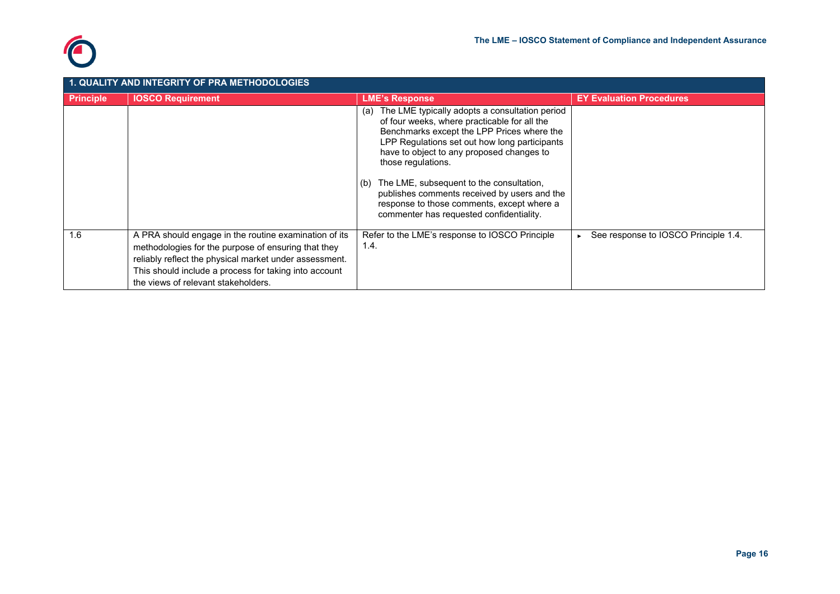

|                  | 1. QUALITY AND INTEGRITY OF PRA METHODOLOGIES                                                                                                                                                                                                                          |                                                                                                                                                                                                                                                                         |                                      |  |  |
|------------------|------------------------------------------------------------------------------------------------------------------------------------------------------------------------------------------------------------------------------------------------------------------------|-------------------------------------------------------------------------------------------------------------------------------------------------------------------------------------------------------------------------------------------------------------------------|--------------------------------------|--|--|
| <b>Principle</b> | <b>IOSCO Requirement</b>                                                                                                                                                                                                                                               | LME's Response                                                                                                                                                                                                                                                          | <b>EY Evaluation Procedures</b>      |  |  |
|                  |                                                                                                                                                                                                                                                                        | The LME typically adopts a consultation period<br>(a)<br>of four weeks, where practicable for all the<br>Benchmarks except the LPP Prices where the<br>LPP Regulations set out how long participants<br>have to object to any proposed changes to<br>those regulations. |                                      |  |  |
|                  |                                                                                                                                                                                                                                                                        | The LME, subsequent to the consultation,<br>(b)<br>publishes comments received by users and the<br>response to those comments, except where a<br>commenter has requested confidentiality.                                                                               |                                      |  |  |
| 1.6              | A PRA should engage in the routine examination of its<br>methodologies for the purpose of ensuring that they<br>reliably reflect the physical market under assessment.<br>This should include a process for taking into account<br>the views of relevant stakeholders. | Refer to the LME's response to IOSCO Principle<br>1.4.                                                                                                                                                                                                                  | See response to IOSCO Principle 1.4. |  |  |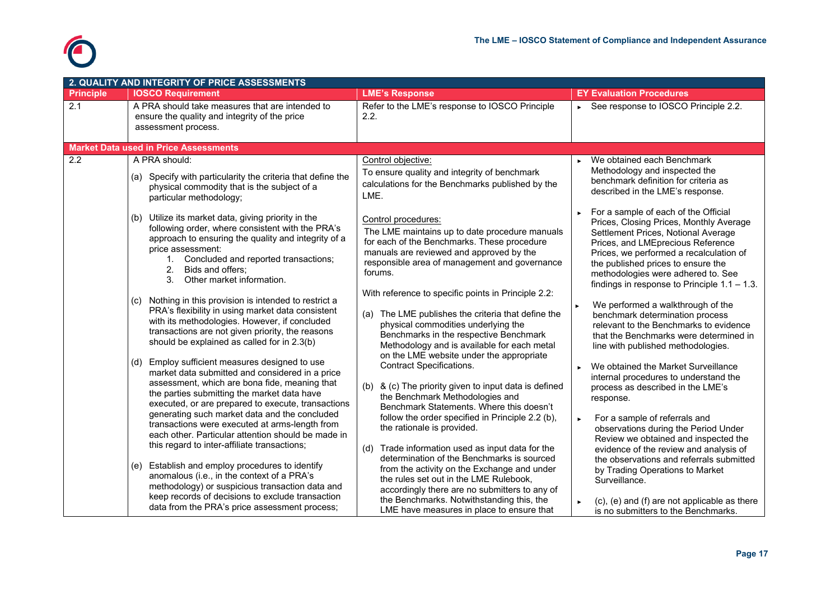

|                  | 2. QUALITY AND INTEGRITY OF PRICE ASSESSMENTS                                                                                                                                                                                                                                                                                                                                                                                                                    |                                                                                                                                                                                                                                                                                                                     |                                                                                                                                                                                                                                                                                                                                       |
|------------------|------------------------------------------------------------------------------------------------------------------------------------------------------------------------------------------------------------------------------------------------------------------------------------------------------------------------------------------------------------------------------------------------------------------------------------------------------------------|---------------------------------------------------------------------------------------------------------------------------------------------------------------------------------------------------------------------------------------------------------------------------------------------------------------------|---------------------------------------------------------------------------------------------------------------------------------------------------------------------------------------------------------------------------------------------------------------------------------------------------------------------------------------|
| <b>Principle</b> | <b>IOSCO Requirement</b>                                                                                                                                                                                                                                                                                                                                                                                                                                         | <b>LME's Response</b>                                                                                                                                                                                                                                                                                               | <b>EY Evaluation Procedures</b>                                                                                                                                                                                                                                                                                                       |
| 2.1              | A PRA should take measures that are intended to<br>ensure the quality and integrity of the price<br>assessment process.                                                                                                                                                                                                                                                                                                                                          | Refer to the LME's response to IOSCO Principle<br>2.2.                                                                                                                                                                                                                                                              | See response to IOSCO Principle 2.2.                                                                                                                                                                                                                                                                                                  |
|                  | <b>Market Data used in Price Assessments</b>                                                                                                                                                                                                                                                                                                                                                                                                                     |                                                                                                                                                                                                                                                                                                                     |                                                                                                                                                                                                                                                                                                                                       |
| 2.2              | A PRA should:<br>(a) Specify with particularity the criteria that define the<br>physical commodity that is the subject of a<br>particular methodology;                                                                                                                                                                                                                                                                                                           | Control objective:<br>To ensure quality and integrity of benchmark<br>calculations for the Benchmarks published by the<br>LME.                                                                                                                                                                                      | We obtained each Benchmark<br>Methodology and inspected the<br>benchmark definition for criteria as<br>described in the LME's response.                                                                                                                                                                                               |
|                  | (b) Utilize its market data, giving priority in the<br>following order, where consistent with the PRA's<br>approach to ensuring the quality and integrity of a<br>price assessment:<br>1. Concluded and reported transactions;<br>2. Bids and offers;<br>3. Other market information.                                                                                                                                                                            | Control procedures:<br>The LME maintains up to date procedure manuals<br>for each of the Benchmarks. These procedure<br>manuals are reviewed and approved by the<br>responsible area of management and governance<br>forums.                                                                                        | For a sample of each of the Official<br>Prices, Closing Prices, Monthly Average<br>Settlement Prices, Notional Average<br>Prices, and LMEprecious Reference<br>Prices, we performed a recalculation of<br>the published prices to ensure the<br>methodologies were adhered to. See<br>findings in response to Principle $1.1 - 1.3$ . |
|                  | (c) Nothing in this provision is intended to restrict a<br>PRA's flexibility in using market data consistent<br>with its methodologies. However, if concluded<br>transactions are not given priority, the reasons<br>should be explained as called for in 2.3(b)                                                                                                                                                                                                 | With reference to specific points in Principle 2.2:<br>(a) The LME publishes the criteria that define the<br>physical commodities underlying the<br>Benchmarks in the respective Benchmark<br>Methodology and is available for each metal<br>on the LME website under the appropriate                               | We performed a walkthrough of the<br>benchmark determination process<br>relevant to the Benchmarks to evidence<br>that the Benchmarks were determined in<br>line with published methodologies.                                                                                                                                        |
|                  | (d) Employ sufficient measures designed to use<br>market data submitted and considered in a price<br>assessment, which are bona fide, meaning that<br>the parties submitting the market data have<br>executed, or are prepared to execute, transactions<br>generating such market data and the concluded<br>transactions were executed at arms-length from<br>each other. Particular attention should be made in<br>this regard to inter-affiliate transactions; | <b>Contract Specifications.</b><br>& (c) The priority given to input data is defined<br>(b)<br>the Benchmark Methodologies and<br>Benchmark Statements. Where this doesn't<br>follow the order specified in Principle 2.2 (b),<br>the rationale is provided.<br>Trade information used as input data for the<br>(d) | We obtained the Market Surveillance<br>internal procedures to understand the<br>process as described in the LME's<br>response.<br>For a sample of referrals and<br>observations during the Period Under<br>Review we obtained and inspected the<br>evidence of the review and analysis of                                             |
|                  | (e) Establish and employ procedures to identify<br>anomalous (i.e., in the context of a PRA's<br>methodology) or suspicious transaction data and<br>keep records of decisions to exclude transaction<br>data from the PRA's price assessment process;                                                                                                                                                                                                            | determination of the Benchmarks is sourced<br>from the activity on the Exchange and under<br>the rules set out in the LME Rulebook,<br>accordingly there are no submitters to any of<br>the Benchmarks. Notwithstanding this, the<br>LME have measures in place to ensure that                                      | the observations and referrals submitted<br>by Trading Operations to Market<br>Surveillance.<br>(c), (e) and (f) are not applicable as there<br>is no submitters to the Benchmarks.                                                                                                                                                   |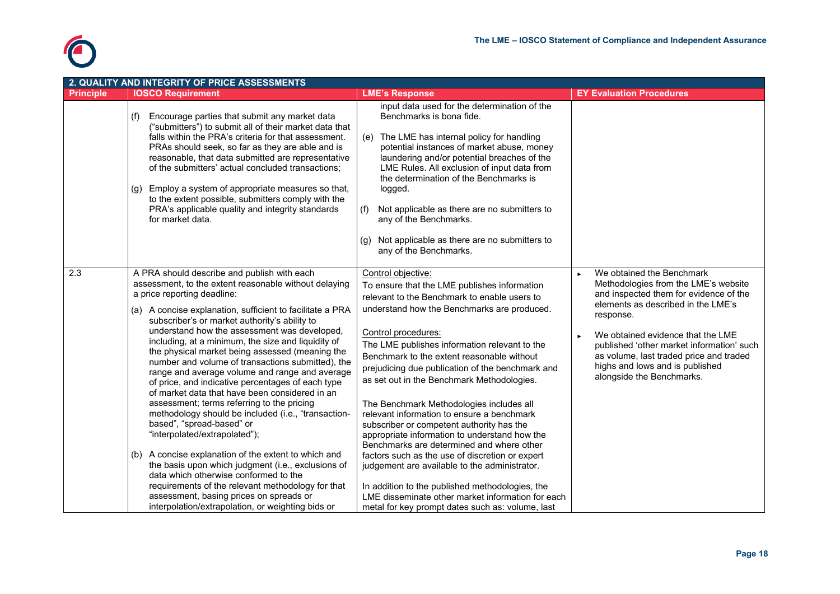

|                  | 2. QUALITY AND INTEGRITY OF PRICE ASSESSMENTS                                                                                                                                                                                                                                                                                                                                                                                                                                                                                                                                                                                                                                                                                                                                                                                                                                                                                                                                                                                                                                                           |                                                                                                                                                                                                                                                                                                                                                                                                                                                                                                                                                                                                                                                                                                                                                                                                                                                                                                |                                                                                                                                                                                                                                                                                                                                                             |  |
|------------------|---------------------------------------------------------------------------------------------------------------------------------------------------------------------------------------------------------------------------------------------------------------------------------------------------------------------------------------------------------------------------------------------------------------------------------------------------------------------------------------------------------------------------------------------------------------------------------------------------------------------------------------------------------------------------------------------------------------------------------------------------------------------------------------------------------------------------------------------------------------------------------------------------------------------------------------------------------------------------------------------------------------------------------------------------------------------------------------------------------|------------------------------------------------------------------------------------------------------------------------------------------------------------------------------------------------------------------------------------------------------------------------------------------------------------------------------------------------------------------------------------------------------------------------------------------------------------------------------------------------------------------------------------------------------------------------------------------------------------------------------------------------------------------------------------------------------------------------------------------------------------------------------------------------------------------------------------------------------------------------------------------------|-------------------------------------------------------------------------------------------------------------------------------------------------------------------------------------------------------------------------------------------------------------------------------------------------------------------------------------------------------------|--|
| <b>Principle</b> | <b>IOSCO Requirement</b>                                                                                                                                                                                                                                                                                                                                                                                                                                                                                                                                                                                                                                                                                                                                                                                                                                                                                                                                                                                                                                                                                | <b>LME's Response</b>                                                                                                                                                                                                                                                                                                                                                                                                                                                                                                                                                                                                                                                                                                                                                                                                                                                                          | <b>EY Evaluation Procedures</b>                                                                                                                                                                                                                                                                                                                             |  |
|                  | Encourage parties that submit any market data<br>(f)<br>("submitters") to submit all of their market data that<br>falls within the PRA's criteria for that assessment.<br>PRAs should seek, so far as they are able and is<br>reasonable, that data submitted are representative<br>of the submitters' actual concluded transactions;<br>(g) Employ a system of appropriate measures so that,<br>to the extent possible, submitters comply with the<br>PRA's applicable quality and integrity standards<br>for market data.                                                                                                                                                                                                                                                                                                                                                                                                                                                                                                                                                                             | input data used for the determination of the<br>Benchmarks is bona fide.<br>The LME has internal policy for handling<br>(e)<br>potential instances of market abuse, money<br>laundering and/or potential breaches of the<br>LME Rules. All exclusion of input data from<br>the determination of the Benchmarks is<br>logged.<br>Not applicable as there are no submitters to<br>(f)<br>any of the Benchmarks.<br>Not applicable as there are no submitters to<br>(g)<br>any of the Benchmarks.                                                                                                                                                                                                                                                                                                                                                                                                 |                                                                                                                                                                                                                                                                                                                                                             |  |
| 2.3              | A PRA should describe and publish with each<br>assessment, to the extent reasonable without delaying<br>a price reporting deadline:<br>(a) A concise explanation, sufficient to facilitate a PRA<br>subscriber's or market authority's ability to<br>understand how the assessment was developed,<br>including, at a minimum, the size and liquidity of<br>the physical market being assessed (meaning the<br>number and volume of transactions submitted), the<br>range and average volume and range and average<br>of price, and indicative percentages of each type<br>of market data that have been considered in an<br>assessment; terms referring to the pricing<br>methodology should be included (i.e., "transaction-<br>based", "spread-based" or<br>"interpolated/extrapolated");<br>(b) A concise explanation of the extent to which and<br>the basis upon which judgment (i.e., exclusions of<br>data which otherwise conformed to the<br>requirements of the relevant methodology for that<br>assessment, basing prices on spreads or<br>interpolation/extrapolation, or weighting bids or | Control objective:<br>To ensure that the LME publishes information<br>relevant to the Benchmark to enable users to<br>understand how the Benchmarks are produced.<br>Control procedures:<br>The LME publishes information relevant to the<br>Benchmark to the extent reasonable without<br>prejudicing due publication of the benchmark and<br>as set out in the Benchmark Methodologies.<br>The Benchmark Methodologies includes all<br>relevant information to ensure a benchmark<br>subscriber or competent authority has the<br>appropriate information to understand how the<br>Benchmarks are determined and where other<br>factors such as the use of discretion or expert<br>judgement are available to the administrator.<br>In addition to the published methodologies, the<br>LME disseminate other market information for each<br>metal for key prompt dates such as: volume, last | We obtained the Benchmark<br>Methodologies from the LME's website<br>and inspected them for evidence of the<br>elements as described in the LME's<br>response.<br>We obtained evidence that the LME<br>published 'other market information' such<br>as volume, last traded price and traded<br>highs and lows and is published<br>alongside the Benchmarks. |  |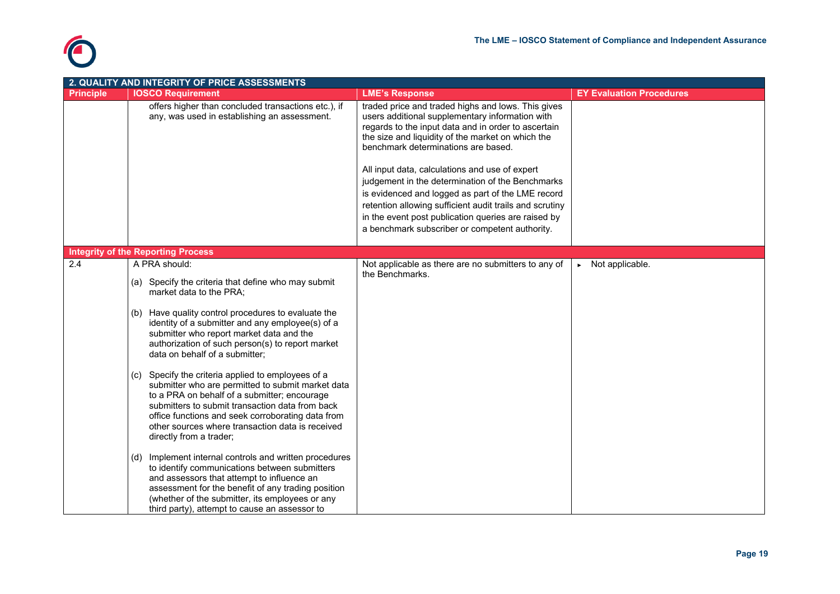

| 2. QUALITY AND INTEGRITY OF PRICE ASSESSMENTS |                                                                                                                                                                                                                                                                                                                                                                                                                                                                                                                                                                                                                                                                                                                                                                                                                                                                                                                                                                                                                   |                                                                                                                                                                                                                                                                                                                                                                                                                                                                                                                                                                                         |                                  |  |
|-----------------------------------------------|-------------------------------------------------------------------------------------------------------------------------------------------------------------------------------------------------------------------------------------------------------------------------------------------------------------------------------------------------------------------------------------------------------------------------------------------------------------------------------------------------------------------------------------------------------------------------------------------------------------------------------------------------------------------------------------------------------------------------------------------------------------------------------------------------------------------------------------------------------------------------------------------------------------------------------------------------------------------------------------------------------------------|-----------------------------------------------------------------------------------------------------------------------------------------------------------------------------------------------------------------------------------------------------------------------------------------------------------------------------------------------------------------------------------------------------------------------------------------------------------------------------------------------------------------------------------------------------------------------------------------|----------------------------------|--|
| <b>Principle</b>                              | <b>IOSCO Requirement</b>                                                                                                                                                                                                                                                                                                                                                                                                                                                                                                                                                                                                                                                                                                                                                                                                                                                                                                                                                                                          | <b>LME's Response</b>                                                                                                                                                                                                                                                                                                                                                                                                                                                                                                                                                                   | <b>EY Evaluation Procedures</b>  |  |
|                                               | offers higher than concluded transactions etc.), if<br>any, was used in establishing an assessment.                                                                                                                                                                                                                                                                                                                                                                                                                                                                                                                                                                                                                                                                                                                                                                                                                                                                                                               | traded price and traded highs and lows. This gives<br>users additional supplementary information with<br>regards to the input data and in order to ascertain<br>the size and liquidity of the market on which the<br>benchmark determinations are based.<br>All input data, calculations and use of expert<br>judgement in the determination of the Benchmarks<br>is evidenced and logged as part of the LME record<br>retention allowing sufficient audit trails and scrutiny<br>in the event post publication queries are raised by<br>a benchmark subscriber or competent authority. |                                  |  |
|                                               | <b>Integrity of the Reporting Process</b>                                                                                                                                                                                                                                                                                                                                                                                                                                                                                                                                                                                                                                                                                                                                                                                                                                                                                                                                                                         |                                                                                                                                                                                                                                                                                                                                                                                                                                                                                                                                                                                         |                                  |  |
| 2.4                                           | A PRA should:<br>(a) Specify the criteria that define who may submit<br>market data to the PRA:<br>(b) Have quality control procedures to evaluate the<br>identity of a submitter and any employee(s) of a<br>submitter who report market data and the<br>authorization of such person(s) to report market<br>data on behalf of a submitter;<br>(c) Specify the criteria applied to employees of a<br>submitter who are permitted to submit market data<br>to a PRA on behalf of a submitter; encourage<br>submitters to submit transaction data from back<br>office functions and seek corroborating data from<br>other sources where transaction data is received<br>directly from a trader;<br>(d) Implement internal controls and written procedures<br>to identify communications between submitters<br>and assessors that attempt to influence an<br>assessment for the benefit of any trading position<br>(whether of the submitter, its employees or any<br>third party), attempt to cause an assessor to | Not applicable as there are no submitters to any of<br>the Benchmarks.                                                                                                                                                                                                                                                                                                                                                                                                                                                                                                                  | $\triangleright$ Not applicable. |  |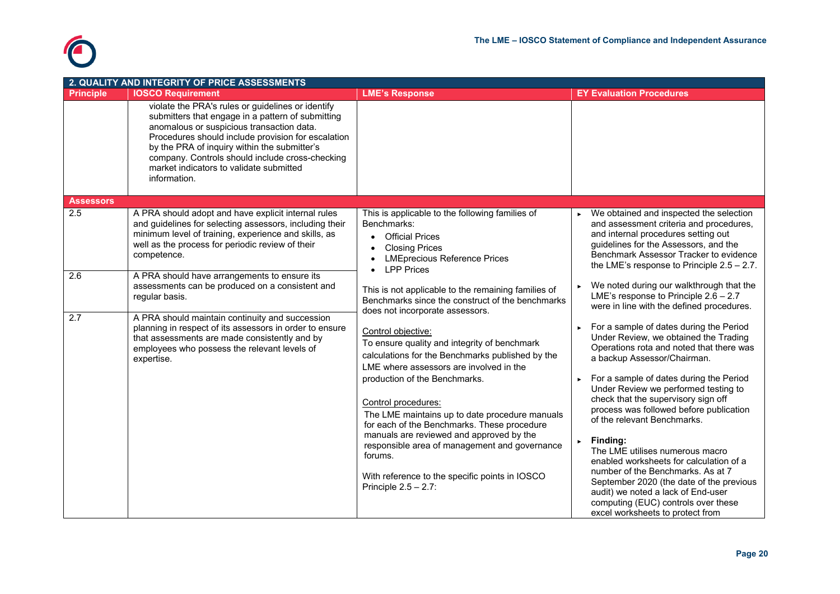

|                  | 2. QUALITY AND INTEGRITY OF PRICE ASSESSMENTS                                                                                                                                                                                                                                                                                                                           |                                                                                                                                                                                                                                                                                                                                                                                                                                                                                                                 |                                                                                                                                                                                                                                                                                                                                                                                                                                                                                                                                                                                                                         |  |  |
|------------------|-------------------------------------------------------------------------------------------------------------------------------------------------------------------------------------------------------------------------------------------------------------------------------------------------------------------------------------------------------------------------|-----------------------------------------------------------------------------------------------------------------------------------------------------------------------------------------------------------------------------------------------------------------------------------------------------------------------------------------------------------------------------------------------------------------------------------------------------------------------------------------------------------------|-------------------------------------------------------------------------------------------------------------------------------------------------------------------------------------------------------------------------------------------------------------------------------------------------------------------------------------------------------------------------------------------------------------------------------------------------------------------------------------------------------------------------------------------------------------------------------------------------------------------------|--|--|
| <b>Principle</b> | <b>IOSCO Requirement</b>                                                                                                                                                                                                                                                                                                                                                | <b>LME's Response</b>                                                                                                                                                                                                                                                                                                                                                                                                                                                                                           | <b>EY Evaluation Procedures</b>                                                                                                                                                                                                                                                                                                                                                                                                                                                                                                                                                                                         |  |  |
|                  | violate the PRA's rules or guidelines or identify<br>submitters that engage in a pattern of submitting<br>anomalous or suspicious transaction data.<br>Procedures should include provision for escalation<br>by the PRA of inquiry within the submitter's<br>company. Controls should include cross-checking<br>market indicators to validate submitted<br>information. |                                                                                                                                                                                                                                                                                                                                                                                                                                                                                                                 |                                                                                                                                                                                                                                                                                                                                                                                                                                                                                                                                                                                                                         |  |  |
| <b>Assessors</b> |                                                                                                                                                                                                                                                                                                                                                                         |                                                                                                                                                                                                                                                                                                                                                                                                                                                                                                                 |                                                                                                                                                                                                                                                                                                                                                                                                                                                                                                                                                                                                                         |  |  |
| 2.5              | A PRA should adopt and have explicit internal rules<br>and guidelines for selecting assessors, including their<br>minimum level of training, experience and skills, as<br>well as the process for periodic review of their<br>competence.                                                                                                                               | This is applicable to the following families of<br>Benchmarks:<br>• Official Prices<br><b>Closing Prices</b><br><b>LMEprecious Reference Prices</b><br><b>LPP</b> Prices<br>$\bullet$                                                                                                                                                                                                                                                                                                                           | We obtained and inspected the selection<br>and assessment criteria and procedures,<br>and internal procedures setting out<br>guidelines for the Assessors, and the<br>Benchmark Assessor Tracker to evidence<br>the LME's response to Principle $2.5 - 2.7$ .                                                                                                                                                                                                                                                                                                                                                           |  |  |
| $\overline{2.6}$ | A PRA should have arrangements to ensure its<br>assessments can be produced on a consistent and<br>regular basis.                                                                                                                                                                                                                                                       | This is not applicable to the remaining families of<br>Benchmarks since the construct of the benchmarks<br>does not incorporate assessors.                                                                                                                                                                                                                                                                                                                                                                      | We noted during our walkthrough that the<br>LME's response to Principle $2.\overline{6} - 2.7$<br>were in line with the defined procedures.                                                                                                                                                                                                                                                                                                                                                                                                                                                                             |  |  |
| $\overline{2.7}$ | A PRA should maintain continuity and succession<br>planning in respect of its assessors in order to ensure<br>that assessments are made consistently and by<br>employees who possess the relevant levels of<br>expertise.                                                                                                                                               | Control objective:<br>To ensure quality and integrity of benchmark<br>calculations for the Benchmarks published by the<br>LME where assessors are involved in the<br>production of the Benchmarks.<br>Control procedures:<br>The LME maintains up to date procedure manuals<br>for each of the Benchmarks. These procedure<br>manuals are reviewed and approved by the<br>responsible area of management and governance<br>forums.<br>With reference to the specific points in IOSCO<br>Principle $2.5 - 2.7$ : | For a sample of dates during the Period<br>Under Review, we obtained the Trading<br>Operations rota and noted that there was<br>a backup Assessor/Chairman.<br>For a sample of dates during the Period<br>Under Review we performed testing to<br>check that the supervisory sign off<br>process was followed before publication<br>of the relevant Benchmarks.<br>Finding:<br>The LME utilises numerous macro<br>enabled worksheets for calculation of a<br>number of the Benchmarks. As at 7<br>September 2020 (the date of the previous<br>audit) we noted a lack of End-user<br>computing (EUC) controls over these |  |  |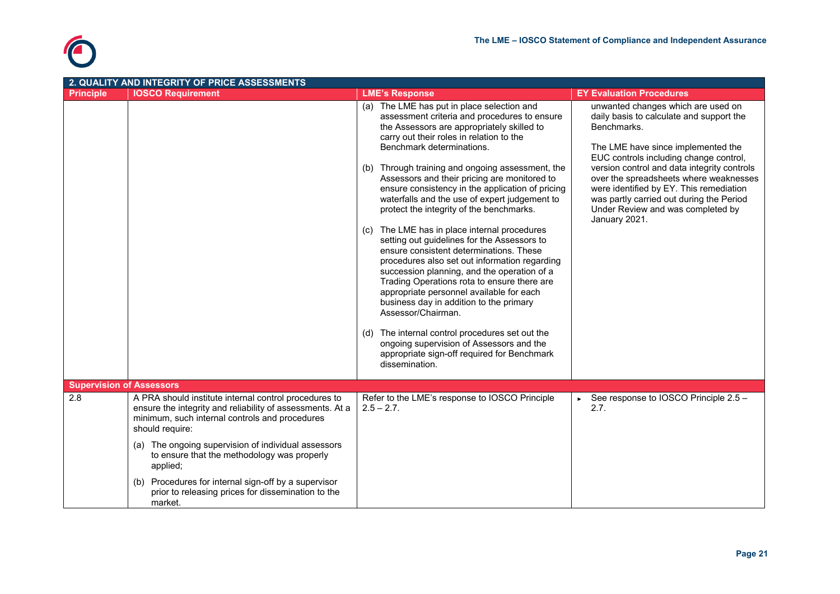

|                                 | 2. QUALITY AND INTEGRITY OF PRICE ASSESSMENTS                                                                                  |                                                                                                                                                                                                                                                                                                                                                                                                                                                                                                                                                                                                                                                                                                                                                                                                                                                                                                                                                                                                                                                       |                                                                                                                                                                                                                                                                                                                                                                                                                     |  |  |
|---------------------------------|--------------------------------------------------------------------------------------------------------------------------------|-------------------------------------------------------------------------------------------------------------------------------------------------------------------------------------------------------------------------------------------------------------------------------------------------------------------------------------------------------------------------------------------------------------------------------------------------------------------------------------------------------------------------------------------------------------------------------------------------------------------------------------------------------------------------------------------------------------------------------------------------------------------------------------------------------------------------------------------------------------------------------------------------------------------------------------------------------------------------------------------------------------------------------------------------------|---------------------------------------------------------------------------------------------------------------------------------------------------------------------------------------------------------------------------------------------------------------------------------------------------------------------------------------------------------------------------------------------------------------------|--|--|
| <b>Principle</b>                | <b>IOSCO Requirement</b>                                                                                                       | <b>LME's Response</b>                                                                                                                                                                                                                                                                                                                                                                                                                                                                                                                                                                                                                                                                                                                                                                                                                                                                                                                                                                                                                                 | <b>EY Evaluation Procedures</b>                                                                                                                                                                                                                                                                                                                                                                                     |  |  |
|                                 |                                                                                                                                | (a) The LME has put in place selection and<br>assessment criteria and procedures to ensure<br>the Assessors are appropriately skilled to<br>carry out their roles in relation to the<br>Benchmark determinations.<br>Through training and ongoing assessment, the<br>(b)<br>Assessors and their pricing are monitored to<br>ensure consistency in the application of pricing<br>waterfalls and the use of expert judgement to<br>protect the integrity of the benchmarks.<br>The LME has in place internal procedures<br>(c)<br>setting out guidelines for the Assessors to<br>ensure consistent determinations. These<br>procedures also set out information regarding<br>succession planning, and the operation of a<br>Trading Operations rota to ensure there are<br>appropriate personnel available for each<br>business day in addition to the primary<br>Assessor/Chairman.<br>The internal control procedures set out the<br>(d)<br>ongoing supervision of Assessors and the<br>appropriate sign-off required for Benchmark<br>dissemination. | unwanted changes which are used on<br>daily basis to calculate and support the<br>Benchmarks.<br>The LME have since implemented the<br>EUC controls including change control,<br>version control and data integrity controls<br>over the spreadsheets where weaknesses<br>were identified by EY. This remediation<br>was partly carried out during the Period<br>Under Review and was completed by<br>January 2021. |  |  |
| <b>Supervision of Assessors</b> |                                                                                                                                |                                                                                                                                                                                                                                                                                                                                                                                                                                                                                                                                                                                                                                                                                                                                                                                                                                                                                                                                                                                                                                                       |                                                                                                                                                                                                                                                                                                                                                                                                                     |  |  |
| 2.8                             | A PRA should institute internal control procedures to                                                                          | Refer to the LME's response to IOSCO Principle                                                                                                                                                                                                                                                                                                                                                                                                                                                                                                                                                                                                                                                                                                                                                                                                                                                                                                                                                                                                        | ► See response to IOSCO Principle 2.5 -                                                                                                                                                                                                                                                                                                                                                                             |  |  |
|                                 | ensure the integrity and reliability of assessments. At a<br>minimum, such internal controls and procedures<br>should require: | $2.5 - 2.7$ .                                                                                                                                                                                                                                                                                                                                                                                                                                                                                                                                                                                                                                                                                                                                                                                                                                                                                                                                                                                                                                         | 2.7.                                                                                                                                                                                                                                                                                                                                                                                                                |  |  |
|                                 | (a) The ongoing supervision of individual assessors<br>to ensure that the methodology was properly<br>applied;                 |                                                                                                                                                                                                                                                                                                                                                                                                                                                                                                                                                                                                                                                                                                                                                                                                                                                                                                                                                                                                                                                       |                                                                                                                                                                                                                                                                                                                                                                                                                     |  |  |
|                                 | (b) Procedures for internal sign-off by a supervisor<br>prior to releasing prices for dissemination to the<br>market.          |                                                                                                                                                                                                                                                                                                                                                                                                                                                                                                                                                                                                                                                                                                                                                                                                                                                                                                                                                                                                                                                       |                                                                                                                                                                                                                                                                                                                                                                                                                     |  |  |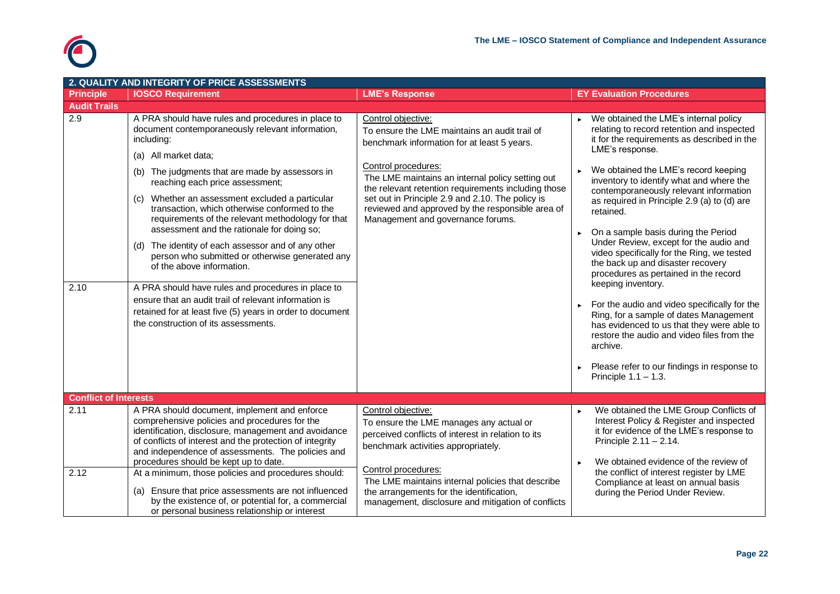

|                              | 2. QUALITY AND INTEGRITY OF PRICE ASSESSMENTS                                                                                                                                                                                                                                                                                                                                                                                                                                                                                                                                                                                                                                                                                                                                                       |                                                                                                                                                                                                                                                                                                                                                                                                   |                                                                                                                                                                                                                                                                                                                                                                                                                                                                                                                                                                                                                                                                                                                                                                                                                                                                                 |  |  |
|------------------------------|-----------------------------------------------------------------------------------------------------------------------------------------------------------------------------------------------------------------------------------------------------------------------------------------------------------------------------------------------------------------------------------------------------------------------------------------------------------------------------------------------------------------------------------------------------------------------------------------------------------------------------------------------------------------------------------------------------------------------------------------------------------------------------------------------------|---------------------------------------------------------------------------------------------------------------------------------------------------------------------------------------------------------------------------------------------------------------------------------------------------------------------------------------------------------------------------------------------------|---------------------------------------------------------------------------------------------------------------------------------------------------------------------------------------------------------------------------------------------------------------------------------------------------------------------------------------------------------------------------------------------------------------------------------------------------------------------------------------------------------------------------------------------------------------------------------------------------------------------------------------------------------------------------------------------------------------------------------------------------------------------------------------------------------------------------------------------------------------------------------|--|--|
| <b>Principle</b>             | <b>IOSCO Requirement</b>                                                                                                                                                                                                                                                                                                                                                                                                                                                                                                                                                                                                                                                                                                                                                                            | <b>LME's Response</b>                                                                                                                                                                                                                                                                                                                                                                             | <b>EY Evaluation Procedures</b>                                                                                                                                                                                                                                                                                                                                                                                                                                                                                                                                                                                                                                                                                                                                                                                                                                                 |  |  |
| <b>Audit Trails</b>          |                                                                                                                                                                                                                                                                                                                                                                                                                                                                                                                                                                                                                                                                                                                                                                                                     |                                                                                                                                                                                                                                                                                                                                                                                                   |                                                                                                                                                                                                                                                                                                                                                                                                                                                                                                                                                                                                                                                                                                                                                                                                                                                                                 |  |  |
| 2.9<br>2.10                  | A PRA should have rules and procedures in place to<br>document contemporaneously relevant information,<br>including:<br>(a) All market data;<br>(b) The judgments that are made by assessors in<br>reaching each price assessment;<br>(c) Whether an assessment excluded a particular<br>transaction, which otherwise conformed to the<br>requirements of the relevant methodology for that<br>assessment and the rationale for doing so;<br>(d) The identity of each assessor and of any other<br>person who submitted or otherwise generated any<br>of the above information.<br>A PRA should have rules and procedures in place to<br>ensure that an audit trail of relevant information is<br>retained for at least five (5) years in order to document<br>the construction of its assessments. | Control objective:<br>To ensure the LME maintains an audit trail of<br>benchmark information for at least 5 years.<br>Control procedures:<br>The LME maintains an internal policy setting out<br>the relevant retention requirements including those<br>set out in Principle 2.9 and 2.10. The policy is<br>reviewed and approved by the responsible area of<br>Management and governance forums. | $\triangleright$ We obtained the LME's internal policy<br>relating to record retention and inspected<br>it for the requirements as described in the<br>LME's response.<br>We obtained the LME's record keeping<br>inventory to identify what and where the<br>contemporaneously relevant information<br>as required in Principle 2.9 (a) to (d) are<br>retained.<br>On a sample basis during the Period<br>Under Review, except for the audio and<br>video specifically for the Ring, we tested<br>the back up and disaster recovery<br>procedures as pertained in the record<br>keeping inventory.<br>For the audio and video specifically for the<br>Ring, for a sample of dates Management<br>has evidenced to us that they were able to<br>restore the audio and video files from the<br>archive.<br>Please refer to our findings in response to<br>Principle $1.1 - 1.3$ . |  |  |
| <b>Conflict of Interests</b> |                                                                                                                                                                                                                                                                                                                                                                                                                                                                                                                                                                                                                                                                                                                                                                                                     |                                                                                                                                                                                                                                                                                                                                                                                                   |                                                                                                                                                                                                                                                                                                                                                                                                                                                                                                                                                                                                                                                                                                                                                                                                                                                                                 |  |  |
| 2.11<br>2.12                 | A PRA should document, implement and enforce<br>comprehensive policies and procedures for the<br>identification, disclosure, management and avoidance<br>of conflicts of interest and the protection of integrity<br>and independence of assessments. The policies and<br>procedures should be kept up to date.<br>At a minimum, those policies and procedures should:<br>(a) Ensure that price assessments are not influenced<br>by the existence of, or potential for, a commercial                                                                                                                                                                                                                                                                                                               | Control objective:<br>To ensure the LME manages any actual or<br>perceived conflicts of interest in relation to its<br>benchmark activities appropriately.<br>Control procedures:<br>The LME maintains internal policies that describe<br>the arrangements for the identification,                                                                                                                | We obtained the LME Group Conflicts of<br>Interest Policy & Register and inspected<br>it for evidence of the LME's response to<br>Principle $2.11 - 2.14$ .<br>We obtained evidence of the review of<br>the conflict of interest register by LME<br>Compliance at least on annual basis<br>during the Period Under Review.                                                                                                                                                                                                                                                                                                                                                                                                                                                                                                                                                      |  |  |
|                              | or personal business relationship or interest                                                                                                                                                                                                                                                                                                                                                                                                                                                                                                                                                                                                                                                                                                                                                       | management, disclosure and mitigation of conflicts                                                                                                                                                                                                                                                                                                                                                |                                                                                                                                                                                                                                                                                                                                                                                                                                                                                                                                                                                                                                                                                                                                                                                                                                                                                 |  |  |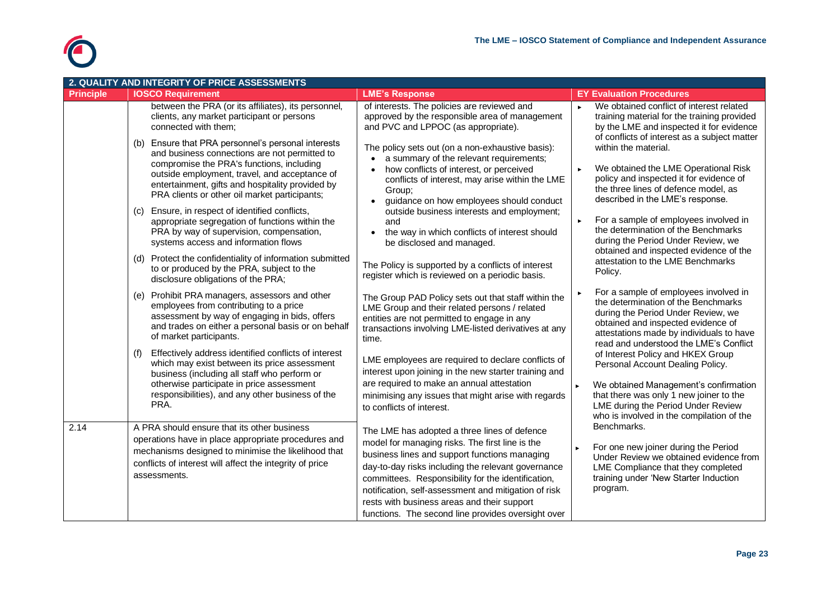

|                  | 2. QUALITY AND INTEGRITY OF PRICE ASSESSMENTS                                                                                                                                                                                         |                                                                                                                                                                                                                                                              |                                                                                                                                                                                                                                                |  |  |
|------------------|---------------------------------------------------------------------------------------------------------------------------------------------------------------------------------------------------------------------------------------|--------------------------------------------------------------------------------------------------------------------------------------------------------------------------------------------------------------------------------------------------------------|------------------------------------------------------------------------------------------------------------------------------------------------------------------------------------------------------------------------------------------------|--|--|
| <b>Principle</b> | <b>IOSCO Requirement</b>                                                                                                                                                                                                              | <b>LME's Response</b>                                                                                                                                                                                                                                        | <b>EY Evaluation Procedures</b>                                                                                                                                                                                                                |  |  |
|                  | between the PRA (or its affiliates), its personnel,<br>clients, any market participant or persons<br>connected with them;<br>(b) Ensure that PRA personnel's personal interests<br>and business connections are not permitted to      | of interests. The policies are reviewed and<br>approved by the responsible area of management<br>and PVC and LPPOC (as appropriate).<br>The policy sets out (on a non-exhaustive basis):<br>a summary of the relevant requirements;<br>$\bullet$             | We obtained conflict of interest related<br>$\mathbf{r}$<br>training material for the training provided<br>by the LME and inspected it for evidence<br>of conflicts of interest as a subject matter<br>within the material.                    |  |  |
|                  | compromise the PRA's functions, including<br>outside employment, travel, and acceptance of<br>entertainment, gifts and hospitality provided by<br>PRA clients or other oil market participants;                                       | how conflicts of interest, or perceived<br>conflicts of interest, may arise within the LME<br>Group:<br>guidance on how employees should conduct                                                                                                             | We obtained the LME Operational Risk<br>policy and inspected it for evidence of<br>the three lines of defence model, as<br>described in the LME's response.                                                                                    |  |  |
|                  | (c) Ensure, in respect of identified conflicts,<br>appropriate segregation of functions within the<br>PRA by way of supervision, compensation,<br>systems access and information flows                                                | outside business interests and employment;<br>and<br>the way in which conflicts of interest should<br>be disclosed and managed.                                                                                                                              | For a sample of employees involved in<br>the determination of the Benchmarks<br>during the Period Under Review, we<br>obtained and inspected evidence of the                                                                                   |  |  |
|                  | (d) Protect the confidentiality of information submitted<br>to or produced by the PRA, subject to the<br>disclosure obligations of the PRA;                                                                                           | The Policy is supported by a conflicts of interest<br>register which is reviewed on a periodic basis.                                                                                                                                                        | attestation to the LME Benchmarks<br>Policy.                                                                                                                                                                                                   |  |  |
|                  | (e) Prohibit PRA managers, assessors and other<br>employees from contributing to a price<br>assessment by way of engaging in bids, offers<br>and trades on either a personal basis or on behalf<br>of market participants.            | The Group PAD Policy sets out that staff within the<br>LME Group and their related persons / related<br>entities are not permitted to engage in any<br>transactions involving LME-listed derivatives at any<br>time.                                         | For a sample of employees involved in<br>the determination of the Benchmarks<br>during the Period Under Review, we<br>obtained and inspected evidence of<br>attestations made by individuals to have<br>read and understood the LME's Conflict |  |  |
|                  | Effectively address identified conflicts of interest<br>(f)<br>which may exist between its price assessment<br>business (including all staff who perform or                                                                           | LME employees are required to declare conflicts of<br>interest upon joining in the new starter training and                                                                                                                                                  | of Interest Policy and HKEX Group<br>Personal Account Dealing Policy.                                                                                                                                                                          |  |  |
|                  | otherwise participate in price assessment<br>responsibilities), and any other business of the<br>PRA.                                                                                                                                 | are required to make an annual attestation<br>minimising any issues that might arise with regards<br>to conflicts of interest.                                                                                                                               | We obtained Management's confirmation<br>that there was only 1 new joiner to the<br>LME during the Period Under Review<br>who is involved in the compilation of the                                                                            |  |  |
| 2.14             | A PRA should ensure that its other business<br>operations have in place appropriate procedures and<br>mechanisms designed to minimise the likelihood that<br>conflicts of interest will affect the integrity of price<br>assessments. | The LME has adopted a three lines of defence<br>model for managing risks. The first line is the<br>business lines and support functions managing<br>day-to-day risks including the relevant governance<br>committees. Responsibility for the identification, | Benchmarks.<br>For one new joiner during the Period<br>Under Review we obtained evidence from<br>LME Compliance that they completed<br>training under 'New Starter Induction                                                                   |  |  |
|                  |                                                                                                                                                                                                                                       | notification, self-assessment and mitigation of risk<br>rests with business areas and their support<br>functions. The second line provides oversight over                                                                                                    | program.                                                                                                                                                                                                                                       |  |  |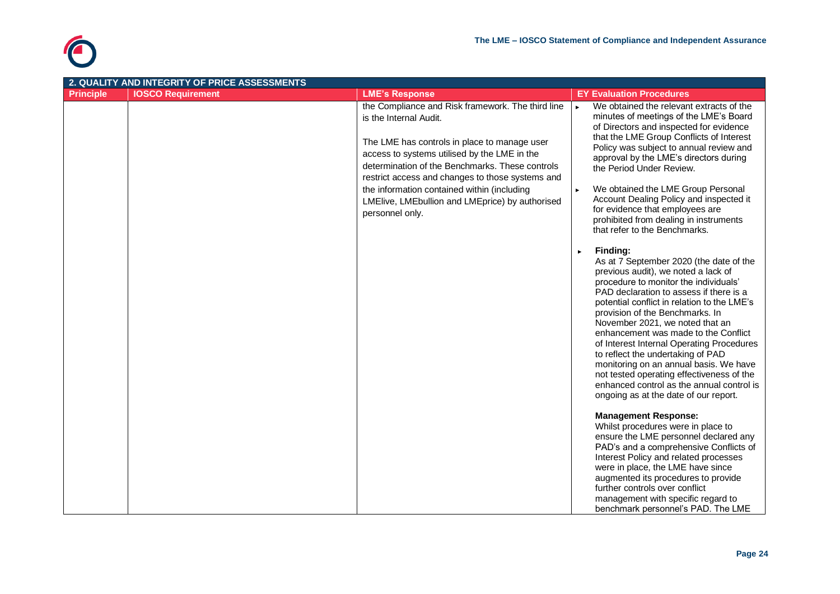

|                  | 2. QUALITY AND INTEGRITY OF PRICE ASSESSMENTS |                                                                                                                                                                                                                                                                                                                                                                                                         |  |                                                                                                                                                                                                                                                                                                                                                                                                                                                                                                                                                                                                                                                                                                                                                                                                                                                                                                                                                                                                                                                                                                                                                                                                                                                                                                                                                                                                                                                                                                    |  |
|------------------|-----------------------------------------------|---------------------------------------------------------------------------------------------------------------------------------------------------------------------------------------------------------------------------------------------------------------------------------------------------------------------------------------------------------------------------------------------------------|--|----------------------------------------------------------------------------------------------------------------------------------------------------------------------------------------------------------------------------------------------------------------------------------------------------------------------------------------------------------------------------------------------------------------------------------------------------------------------------------------------------------------------------------------------------------------------------------------------------------------------------------------------------------------------------------------------------------------------------------------------------------------------------------------------------------------------------------------------------------------------------------------------------------------------------------------------------------------------------------------------------------------------------------------------------------------------------------------------------------------------------------------------------------------------------------------------------------------------------------------------------------------------------------------------------------------------------------------------------------------------------------------------------------------------------------------------------------------------------------------------------|--|
| <b>Principle</b> | <b>IOSCO Requirement</b>                      | <b>LME's Response</b>                                                                                                                                                                                                                                                                                                                                                                                   |  | <b>EY Evaluation Procedures</b>                                                                                                                                                                                                                                                                                                                                                                                                                                                                                                                                                                                                                                                                                                                                                                                                                                                                                                                                                                                                                                                                                                                                                                                                                                                                                                                                                                                                                                                                    |  |
|                  |                                               | the Compliance and Risk framework. The third line<br>is the Internal Audit.<br>The LME has controls in place to manage user<br>access to systems utilised by the LME in the<br>determination of the Benchmarks. These controls<br>restrict access and changes to those systems and<br>the information contained within (including<br>LMElive, LMEbullion and LMEprice) by authorised<br>personnel only. |  | We obtained the relevant extracts of the<br>minutes of meetings of the LME's Board<br>of Directors and inspected for evidence<br>that the LME Group Conflicts of Interest<br>Policy was subject to annual review and<br>approval by the LME's directors during<br>the Period Under Review.<br>We obtained the LME Group Personal<br>Account Dealing Policy and inspected it<br>for evidence that employees are<br>prohibited from dealing in instruments<br>that refer to the Benchmarks.<br>Finding:<br>As at 7 September 2020 (the date of the<br>previous audit), we noted a lack of<br>procedure to monitor the individuals'<br>PAD declaration to assess if there is a<br>potential conflict in relation to the LME's<br>provision of the Benchmarks. In<br>November 2021, we noted that an<br>enhancement was made to the Conflict<br>of Interest Internal Operating Procedures<br>to reflect the undertaking of PAD<br>monitoring on an annual basis. We have<br>not tested operating effectiveness of the<br>enhanced control as the annual control is<br>ongoing as at the date of our report.<br><b>Management Response:</b><br>Whilst procedures were in place to<br>ensure the LME personnel declared any<br>PAD's and a comprehensive Conflicts of<br>Interest Policy and related processes<br>were in place, the LME have since<br>augmented its procedures to provide<br>further controls over conflict<br>management with specific regard to<br>benchmark personnel's PAD. The LME |  |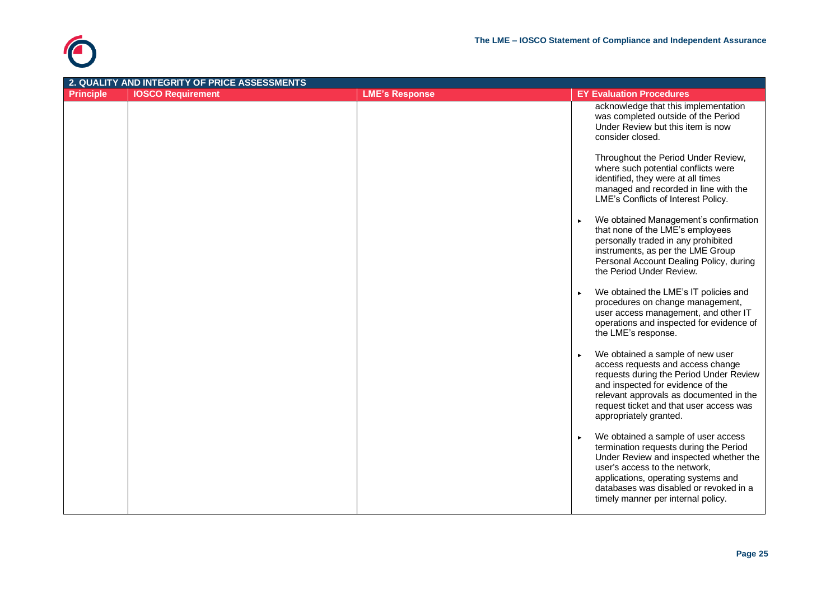

|                  | 2. QUALITY AND INTEGRITY OF PRICE ASSESSMENTS |                       |                                                                                                                                                                                                                                                                                 |  |
|------------------|-----------------------------------------------|-----------------------|---------------------------------------------------------------------------------------------------------------------------------------------------------------------------------------------------------------------------------------------------------------------------------|--|
| <b>Principle</b> | <b>IOSCO Requirement</b>                      | <b>LME's Response</b> | <b>EY Evaluation Procedures</b>                                                                                                                                                                                                                                                 |  |
|                  |                                               |                       | acknowledge that this implementation<br>was completed outside of the Period<br>Under Review but this item is now<br>consider closed.                                                                                                                                            |  |
|                  |                                               |                       | Throughout the Period Under Review,<br>where such potential conflicts were<br>identified, they were at all times<br>managed and recorded in line with the<br>LME's Conflicts of Interest Policy.                                                                                |  |
|                  |                                               |                       | We obtained Management's confirmation<br>that none of the LME's employees<br>personally traded in any prohibited<br>instruments, as per the LME Group<br>Personal Account Dealing Policy, during<br>the Period Under Review.                                                    |  |
|                  |                                               |                       | We obtained the LME's IT policies and<br>procedures on change management,<br>user access management, and other IT<br>operations and inspected for evidence of<br>the LME's response.                                                                                            |  |
|                  |                                               |                       | We obtained a sample of new user<br>access requests and access change<br>requests during the Period Under Review<br>and inspected for evidence of the<br>relevant approvals as documented in the<br>request ticket and that user access was<br>appropriately granted.           |  |
|                  |                                               |                       | We obtained a sample of user access<br>termination requests during the Period<br>Under Review and inspected whether the<br>user's access to the network,<br>applications, operating systems and<br>databases was disabled or revoked in a<br>timely manner per internal policy. |  |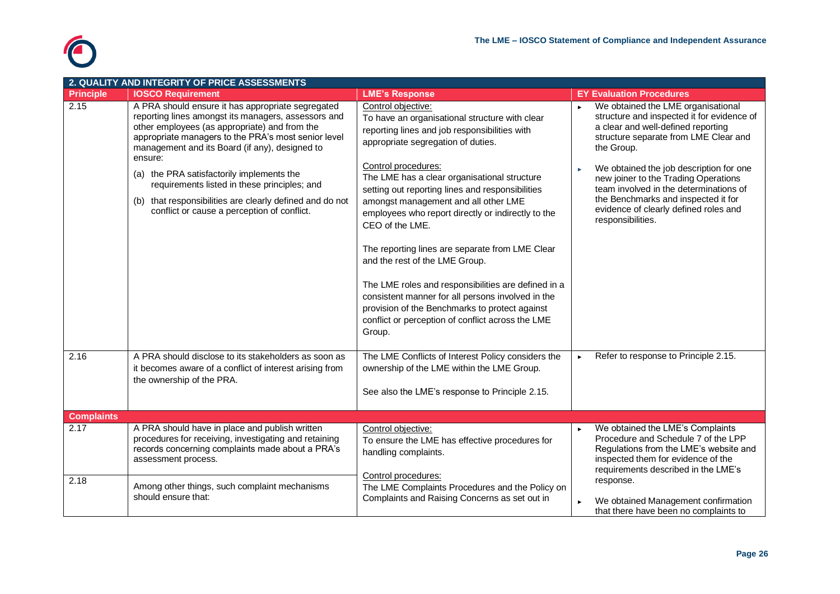

| 2. QUALITY AND INTEGRITY OF PRICE ASSESSMENTS |                                                                                                                                                                                                                                                                               |                                                                                                                                                                                                                                                                                                                                                                                                                                                                                                                                     |                                                                                                                                                                                                                          |  |
|-----------------------------------------------|-------------------------------------------------------------------------------------------------------------------------------------------------------------------------------------------------------------------------------------------------------------------------------|-------------------------------------------------------------------------------------------------------------------------------------------------------------------------------------------------------------------------------------------------------------------------------------------------------------------------------------------------------------------------------------------------------------------------------------------------------------------------------------------------------------------------------------|--------------------------------------------------------------------------------------------------------------------------------------------------------------------------------------------------------------------------|--|
| <b>Principle</b>                              | <b>IOSCO Requirement</b>                                                                                                                                                                                                                                                      | <b>LME's Response</b>                                                                                                                                                                                                                                                                                                                                                                                                                                                                                                               | <b>EY Evaluation Procedures</b>                                                                                                                                                                                          |  |
| 2.15                                          | A PRA should ensure it has appropriate segregated<br>reporting lines amongst its managers, assessors and<br>other employees (as appropriate) and from the<br>appropriate managers to the PRA's most senior level<br>management and its Board (if any), designed to<br>ensure: | Control objective:<br>To have an organisational structure with clear<br>reporting lines and job responsibilities with<br>appropriate segregation of duties.<br>Control procedures:                                                                                                                                                                                                                                                                                                                                                  | We obtained the LME organisational<br>structure and inspected it for evidence of<br>a clear and well-defined reporting<br>structure separate from LME Clear and<br>the Group.<br>We obtained the job description for one |  |
|                                               | (a) the PRA satisfactorily implements the<br>requirements listed in these principles; and<br>(b) that responsibilities are clearly defined and do not<br>conflict or cause a perception of conflict.                                                                          | The LME has a clear organisational structure<br>setting out reporting lines and responsibilities<br>amongst management and all other LME<br>employees who report directly or indirectly to the<br>CEO of the LME.<br>The reporting lines are separate from LME Clear<br>and the rest of the LME Group.<br>The LME roles and responsibilities are defined in a<br>consistent manner for all persons involved in the<br>provision of the Benchmarks to protect against<br>conflict or perception of conflict across the LME<br>Group. | new joiner to the Trading Operations<br>team involved in the determinations of<br>the Benchmarks and inspected it for<br>evidence of clearly defined roles and<br>responsibilities.                                      |  |
| 2.16                                          | A PRA should disclose to its stakeholders as soon as<br>it becomes aware of a conflict of interest arising from<br>the ownership of the PRA.                                                                                                                                  | The LME Conflicts of Interest Policy considers the<br>ownership of the LME within the LME Group.<br>See also the LME's response to Principle 2.15.                                                                                                                                                                                                                                                                                                                                                                                  | Refer to response to Principle 2.15.<br>×.                                                                                                                                                                               |  |
| <b>Complaints</b>                             |                                                                                                                                                                                                                                                                               |                                                                                                                                                                                                                                                                                                                                                                                                                                                                                                                                     |                                                                                                                                                                                                                          |  |
| 2.17                                          | A PRA should have in place and publish written<br>procedures for receiving, investigating and retaining<br>records concerning complaints made about a PRA's<br>assessment process.                                                                                            | Control objective:<br>To ensure the LME has effective procedures for<br>handling complaints.                                                                                                                                                                                                                                                                                                                                                                                                                                        | We obtained the LME's Complaints<br>Procedure and Schedule 7 of the LPP<br>Regulations from the LME's website and<br>inspected them for evidence of the<br>requirements described in the LME's                           |  |
| 2.18                                          | Among other things, such complaint mechanisms<br>should ensure that:                                                                                                                                                                                                          | Control procedures:<br>The LME Complaints Procedures and the Policy on<br>Complaints and Raising Concerns as set out in                                                                                                                                                                                                                                                                                                                                                                                                             | response.<br>We obtained Management confirmation<br>that there have been no complaints to                                                                                                                                |  |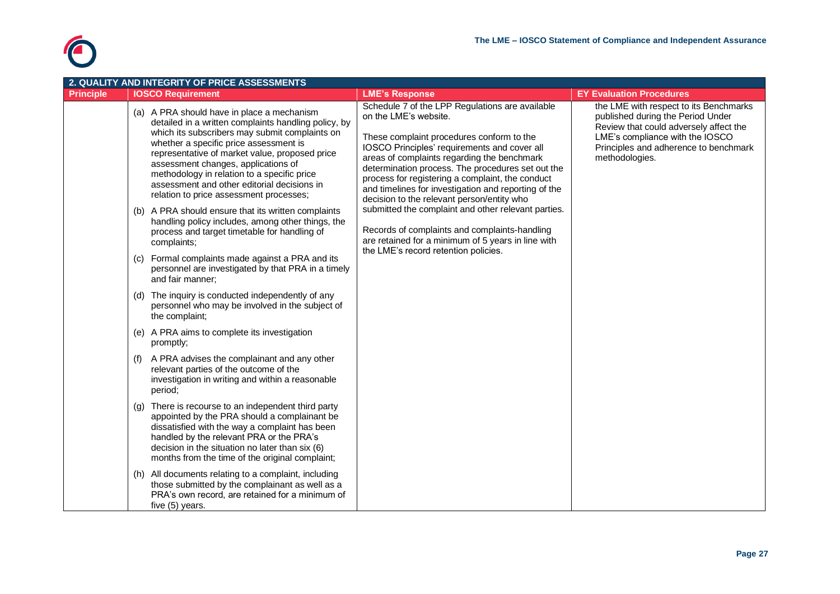

|                  | 2. QUALITY AND INTEGRITY OF PRICE ASSESSMENTS |                                                                                                                                                                                                                                                                                                                                                                                                                                  |                                                                                                                                                                                                                                                                                                                                                                                                                                     |                                                                                                                                                                                                                     |  |
|------------------|-----------------------------------------------|----------------------------------------------------------------------------------------------------------------------------------------------------------------------------------------------------------------------------------------------------------------------------------------------------------------------------------------------------------------------------------------------------------------------------------|-------------------------------------------------------------------------------------------------------------------------------------------------------------------------------------------------------------------------------------------------------------------------------------------------------------------------------------------------------------------------------------------------------------------------------------|---------------------------------------------------------------------------------------------------------------------------------------------------------------------------------------------------------------------|--|
| <b>Principle</b> |                                               | <b>IOSCO Requirement</b>                                                                                                                                                                                                                                                                                                                                                                                                         | <b>LME's Response</b>                                                                                                                                                                                                                                                                                                                                                                                                               | <b>EY Evaluation Procedures</b>                                                                                                                                                                                     |  |
|                  |                                               | (a) A PRA should have in place a mechanism<br>detailed in a written complaints handling policy, by<br>which its subscribers may submit complaints on<br>whether a specific price assessment is<br>representative of market value, proposed price<br>assessment changes, applications of<br>methodology in relation to a specific price<br>assessment and other editorial decisions in<br>relation to price assessment processes; | Schedule 7 of the LPP Regulations are available<br>on the LME's website.<br>These complaint procedures conform to the<br>IOSCO Principles' requirements and cover all<br>areas of complaints regarding the benchmark<br>determination process. The procedures set out the<br>process for registering a complaint, the conduct<br>and timelines for investigation and reporting of the<br>decision to the relevant person/entity who | the LME with respect to its Benchmarks<br>published during the Period Under<br>Review that could adversely affect the<br>LME's compliance with the IOSCO<br>Principles and adherence to benchmark<br>methodologies. |  |
|                  |                                               | (b) A PRA should ensure that its written complaints<br>handling policy includes, among other things, the<br>process and target timetable for handling of<br>complaints;                                                                                                                                                                                                                                                          | submitted the complaint and other relevant parties.<br>Records of complaints and complaints-handling<br>are retained for a minimum of 5 years in line with                                                                                                                                                                                                                                                                          |                                                                                                                                                                                                                     |  |
|                  | (C)                                           | Formal complaints made against a PRA and its<br>personnel are investigated by that PRA in a timely<br>and fair manner;                                                                                                                                                                                                                                                                                                           | the LME's record retention policies.                                                                                                                                                                                                                                                                                                                                                                                                |                                                                                                                                                                                                                     |  |
|                  |                                               | (d) The inquiry is conducted independently of any<br>personnel who may be involved in the subject of<br>the complaint;                                                                                                                                                                                                                                                                                                           |                                                                                                                                                                                                                                                                                                                                                                                                                                     |                                                                                                                                                                                                                     |  |
|                  |                                               | (e) A PRA aims to complete its investigation<br>promptly;                                                                                                                                                                                                                                                                                                                                                                        |                                                                                                                                                                                                                                                                                                                                                                                                                                     |                                                                                                                                                                                                                     |  |
|                  | (f)                                           | A PRA advises the complainant and any other<br>relevant parties of the outcome of the<br>investigation in writing and within a reasonable<br>period;                                                                                                                                                                                                                                                                             |                                                                                                                                                                                                                                                                                                                                                                                                                                     |                                                                                                                                                                                                                     |  |
|                  | (g)                                           | There is recourse to an independent third party<br>appointed by the PRA should a complainant be<br>dissatisfied with the way a complaint has been<br>handled by the relevant PRA or the PRA's<br>decision in the situation no later than six (6)<br>months from the time of the original complaint;                                                                                                                              |                                                                                                                                                                                                                                                                                                                                                                                                                                     |                                                                                                                                                                                                                     |  |
|                  |                                               | (h) All documents relating to a complaint, including<br>those submitted by the complainant as well as a<br>PRA's own record, are retained for a minimum of<br>five (5) years.                                                                                                                                                                                                                                                    |                                                                                                                                                                                                                                                                                                                                                                                                                                     |                                                                                                                                                                                                                     |  |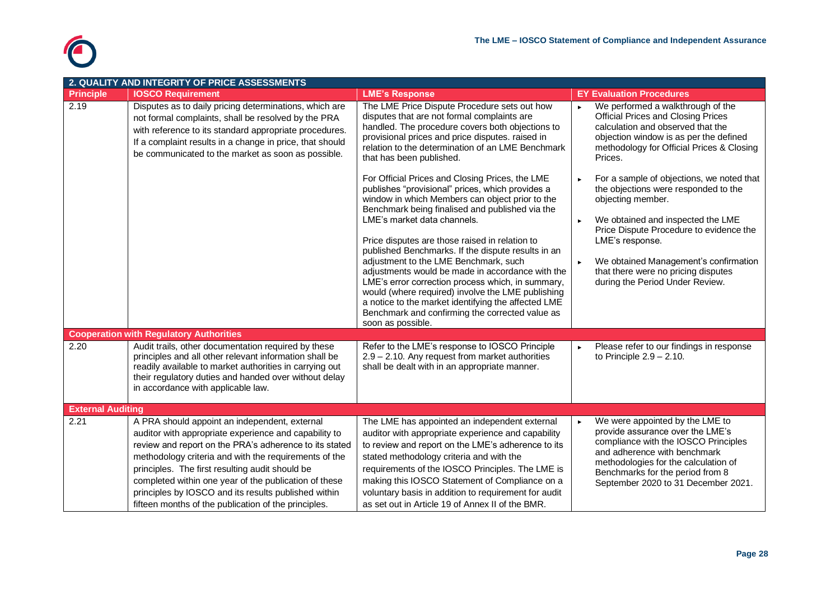

|                          | 2. QUALITY AND INTEGRITY OF PRICE ASSESSMENTS                                                                                                                                                                                                                                                                                                                                                                                                         |                                                                                                                                                                                                                                                                                                                                                                                                                                                                                                                                                                                                                                                                                                                                                                                                                                                                                                                                                                                |  |                                                                                                                                                                                                                                                                                                                                                                                                                                                                                                                                                       |  |
|--------------------------|-------------------------------------------------------------------------------------------------------------------------------------------------------------------------------------------------------------------------------------------------------------------------------------------------------------------------------------------------------------------------------------------------------------------------------------------------------|--------------------------------------------------------------------------------------------------------------------------------------------------------------------------------------------------------------------------------------------------------------------------------------------------------------------------------------------------------------------------------------------------------------------------------------------------------------------------------------------------------------------------------------------------------------------------------------------------------------------------------------------------------------------------------------------------------------------------------------------------------------------------------------------------------------------------------------------------------------------------------------------------------------------------------------------------------------------------------|--|-------------------------------------------------------------------------------------------------------------------------------------------------------------------------------------------------------------------------------------------------------------------------------------------------------------------------------------------------------------------------------------------------------------------------------------------------------------------------------------------------------------------------------------------------------|--|
| <b>Principle</b>         | <b>IOSCO Requirement</b>                                                                                                                                                                                                                                                                                                                                                                                                                              | <b>LME's Response</b>                                                                                                                                                                                                                                                                                                                                                                                                                                                                                                                                                                                                                                                                                                                                                                                                                                                                                                                                                          |  | <b>EY Evaluation Procedures</b>                                                                                                                                                                                                                                                                                                                                                                                                                                                                                                                       |  |
| 2.19                     | Disputes as to daily pricing determinations, which are<br>not formal complaints, shall be resolved by the PRA<br>with reference to its standard appropriate procedures.<br>If a complaint results in a change in price, that should<br>be communicated to the market as soon as possible.                                                                                                                                                             | The LME Price Dispute Procedure sets out how<br>disputes that are not formal complaints are<br>handled. The procedure covers both objections to<br>provisional prices and price disputes. raised in<br>relation to the determination of an LME Benchmark<br>that has been published.<br>For Official Prices and Closing Prices, the LME<br>publishes "provisional" prices, which provides a<br>window in which Members can object prior to the<br>Benchmark being finalised and published via the<br>LME's market data channels.<br>Price disputes are those raised in relation to<br>published Benchmarks. If the dispute results in an<br>adjustment to the LME Benchmark, such<br>adjustments would be made in accordance with the<br>LME's error correction process which, in summary,<br>would (where required) involve the LME publishing<br>a notice to the market identifying the affected LME<br>Benchmark and confirming the corrected value as<br>soon as possible. |  | We performed a walkthrough of the<br><b>Official Prices and Closing Prices</b><br>calculation and observed that the<br>objection window is as per the defined<br>methodology for Official Prices & Closing<br>Prices.<br>For a sample of objections, we noted that<br>the objections were responded to the<br>objecting member.<br>We obtained and inspected the LME<br>Price Dispute Procedure to evidence the<br>LME's response.<br>We obtained Management's confirmation<br>that there were no pricing disputes<br>during the Period Under Review. |  |
|                          | <b>Cooperation with Regulatory Authorities</b>                                                                                                                                                                                                                                                                                                                                                                                                        |                                                                                                                                                                                                                                                                                                                                                                                                                                                                                                                                                                                                                                                                                                                                                                                                                                                                                                                                                                                |  |                                                                                                                                                                                                                                                                                                                                                                                                                                                                                                                                                       |  |
| 2.20                     | Audit trails, other documentation required by these<br>principles and all other relevant information shall be<br>readily available to market authorities in carrying out<br>their regulatory duties and handed over without delay<br>in accordance with applicable law.                                                                                                                                                                               | Refer to the LME's response to IOSCO Principle<br>$2.9 - 2.10$ . Any request from market authorities<br>shall be dealt with in an appropriate manner.                                                                                                                                                                                                                                                                                                                                                                                                                                                                                                                                                                                                                                                                                                                                                                                                                          |  | Please refer to our findings in response<br>to Principle $2.9 - 2.10$ .                                                                                                                                                                                                                                                                                                                                                                                                                                                                               |  |
| <b>External Auditing</b> |                                                                                                                                                                                                                                                                                                                                                                                                                                                       |                                                                                                                                                                                                                                                                                                                                                                                                                                                                                                                                                                                                                                                                                                                                                                                                                                                                                                                                                                                |  |                                                                                                                                                                                                                                                                                                                                                                                                                                                                                                                                                       |  |
| 2.21                     | A PRA should appoint an independent, external<br>auditor with appropriate experience and capability to<br>review and report on the PRA's adherence to its stated<br>methodology criteria and with the requirements of the<br>principles. The first resulting audit should be<br>completed within one year of the publication of these<br>principles by IOSCO and its results published within<br>fifteen months of the publication of the principles. | The LME has appointed an independent external<br>auditor with appropriate experience and capability<br>to review and report on the LME's adherence to its<br>stated methodology criteria and with the<br>requirements of the IOSCO Principles. The LME is<br>making this IOSCO Statement of Compliance on a<br>voluntary basis in addition to requirement for audit<br>as set out in Article 19 of Annex II of the BMR.                                                                                                                                                                                                                                                                                                                                                                                                                                                                                                                                                        |  | We were appointed by the LME to<br>provide assurance over the LME's<br>compliance with the IOSCO Principles<br>and adherence with benchmark<br>methodologies for the calculation of<br>Benchmarks for the period from 8<br>September 2020 to 31 December 2021.                                                                                                                                                                                                                                                                                        |  |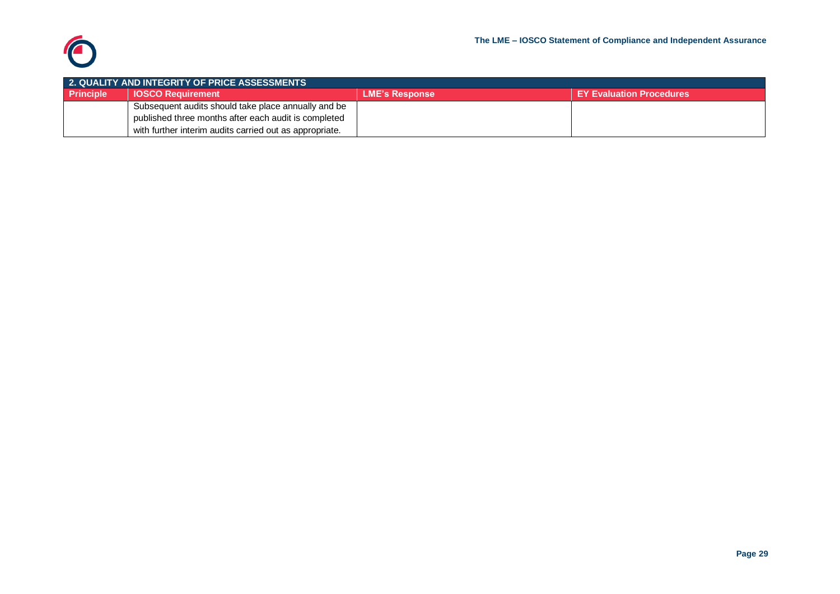

| 2. QUALITY AND INTEGRITY OF PRICE ASSESSMENTS |                                                         |                       |                                 |  |  |
|-----------------------------------------------|---------------------------------------------------------|-----------------------|---------------------------------|--|--|
| <b>Principle</b>                              | IOSCO Requirement                                       | <b>LME's Response</b> | <b>EY Evaluation Procedures</b> |  |  |
|                                               | Subsequent audits should take place annually and be     |                       |                                 |  |  |
|                                               | published three months after each audit is completed    |                       |                                 |  |  |
|                                               | with further interim audits carried out as appropriate. |                       |                                 |  |  |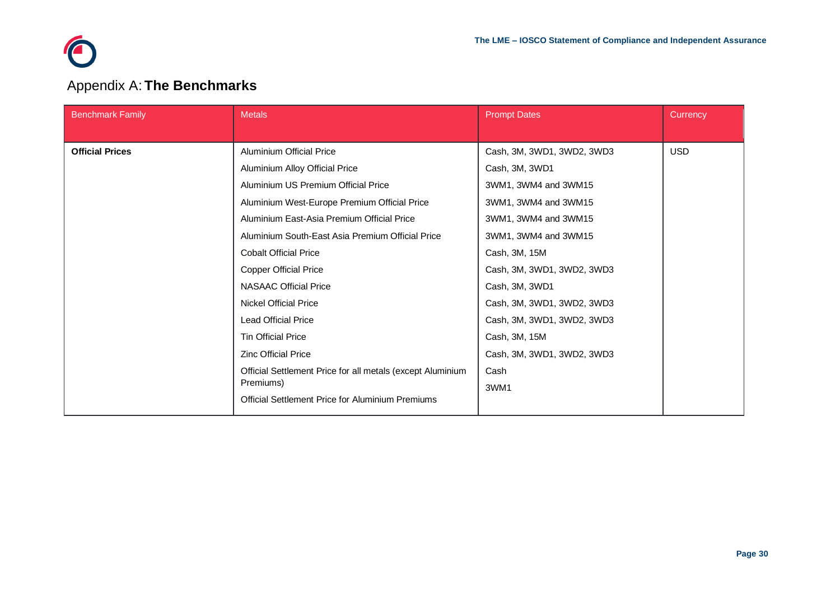

## Appendix A: **The Benchmarks**

| <b>Benchmark Family</b> | <b>Metals</b>                                              | <b>Prompt Dates</b>        | Currency   |
|-------------------------|------------------------------------------------------------|----------------------------|------------|
|                         |                                                            |                            |            |
| <b>Official Prices</b>  | <b>Aluminium Official Price</b>                            | Cash, 3M, 3WD1, 3WD2, 3WD3 | <b>USD</b> |
|                         | Aluminium Alloy Official Price                             | Cash, 3M, 3WD1             |            |
|                         | Aluminium US Premium Official Price                        | 3WM1, 3WM4 and 3WM15       |            |
|                         | Aluminium West-Europe Premium Official Price               | 3WM1, 3WM4 and 3WM15       |            |
|                         | Aluminium East-Asia Premium Official Price                 | 3WM1, 3WM4 and 3WM15       |            |
|                         | Aluminium South-East Asia Premium Official Price           | 3WM1, 3WM4 and 3WM15       |            |
|                         | <b>Cobalt Official Price</b>                               | Cash, 3M, 15M              |            |
|                         | <b>Copper Official Price</b>                               | Cash, 3M, 3WD1, 3WD2, 3WD3 |            |
|                         | <b>NASAAC Official Price</b>                               | Cash, 3M, 3WD1             |            |
|                         | <b>Nickel Official Price</b>                               | Cash, 3M, 3WD1, 3WD2, 3WD3 |            |
|                         | <b>Lead Official Price</b>                                 | Cash, 3M, 3WD1, 3WD2, 3WD3 |            |
|                         | <b>Tin Official Price</b>                                  | Cash, 3M, 15M              |            |
|                         | <b>Zinc Official Price</b>                                 | Cash, 3M, 3WD1, 3WD2, 3WD3 |            |
|                         | Official Settlement Price for all metals (except Aluminium | Cash                       |            |
|                         | Premiums)                                                  | 3WM1                       |            |
|                         | Official Settlement Price for Aluminium Premiums           |                            |            |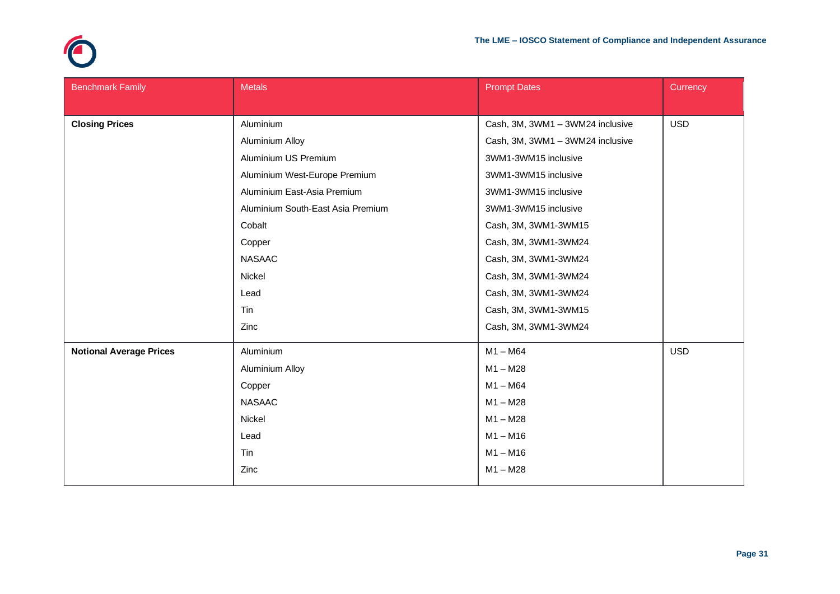

| <b>Benchmark Family</b>        | <b>Metals</b>                     | <b>Prompt Dates</b>              | Currency   |
|--------------------------------|-----------------------------------|----------------------------------|------------|
|                                |                                   |                                  |            |
| <b>Closing Prices</b>          | Aluminium                         | Cash, 3M, 3WM1 - 3WM24 inclusive | <b>USD</b> |
|                                | <b>Aluminium Alloy</b>            | Cash, 3M, 3WM1 - 3WM24 inclusive |            |
|                                | Aluminium US Premium              | 3WM1-3WM15 inclusive             |            |
|                                | Aluminium West-Europe Premium     | 3WM1-3WM15 inclusive             |            |
|                                | Aluminium East-Asia Premium       | 3WM1-3WM15 inclusive             |            |
|                                | Aluminium South-East Asia Premium | 3WM1-3WM15 inclusive             |            |
|                                | Cobalt                            | Cash, 3M, 3WM1-3WM15             |            |
|                                | Copper                            | Cash, 3M, 3WM1-3WM24             |            |
|                                | <b>NASAAC</b>                     | Cash, 3M, 3WM1-3WM24             |            |
|                                | Nickel                            | Cash, 3M, 3WM1-3WM24             |            |
|                                | Lead                              | Cash, 3M, 3WM1-3WM24             |            |
|                                | Tin                               | Cash, 3M, 3WM1-3WM15             |            |
|                                | Zinc                              | Cash, 3M, 3WM1-3WM24             |            |
| <b>Notional Average Prices</b> | Aluminium                         | $M1 - M64$                       | <b>USD</b> |
|                                | Aluminium Alloy                   | $M1 - M28$                       |            |
|                                | Copper                            | $M1 - M64$                       |            |
|                                | <b>NASAAC</b>                     | $M1 - M28$                       |            |
|                                | Nickel                            | $M1 - M28$                       |            |
|                                | Lead                              | $M1 - M16$                       |            |
|                                | Tin                               | $M1 - M16$                       |            |
|                                | Zinc                              | $M1 - M28$                       |            |